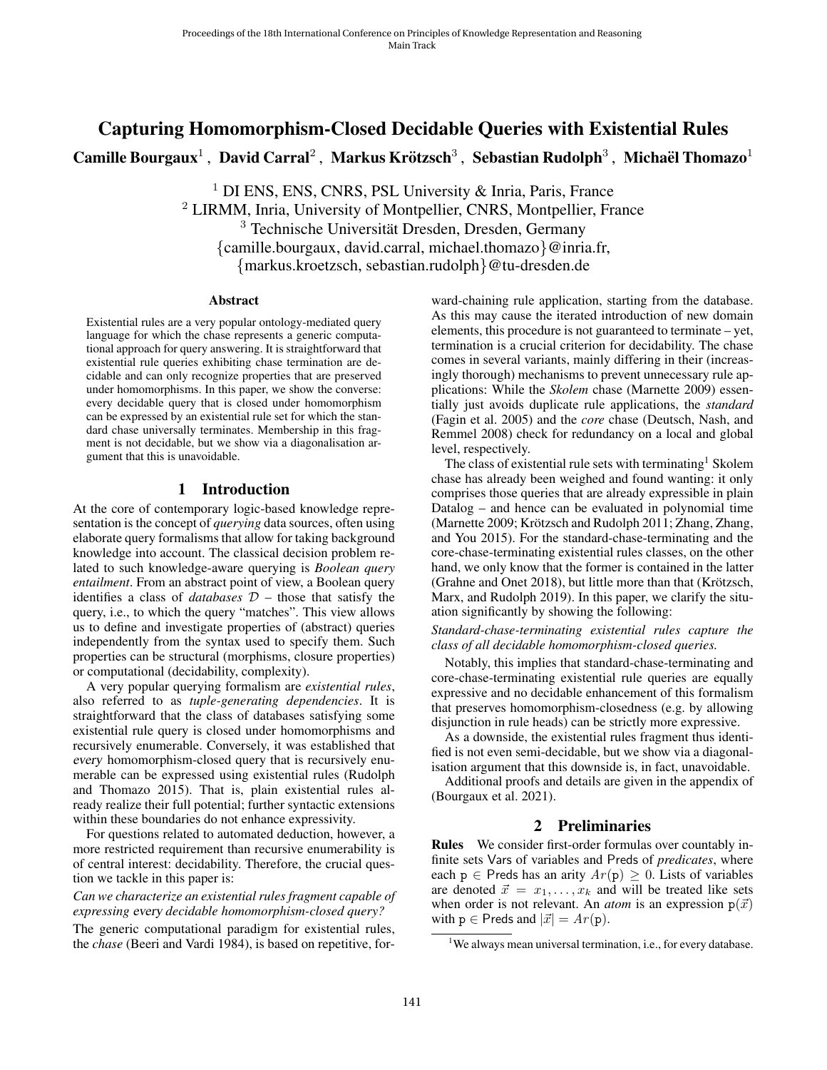# Capturing Homomorphism-Closed Decidable Queries with Existential Rules Camille Bourgaux $^1$  , David Carral $^2$  , Markus Krötzsch $^3$  , Sebastian Rudolph $^3$  , Michaël Thomazo $^1$

<sup>1</sup> DI ENS, ENS, CNRS, PSL University  $\&$  Inria, Paris, France <sup>2</sup> LIRMM, Inria, University of Montpellier, CNRS, Montpellier, France <sup>3</sup> Technische Universität Dresden, Dresden, Germany {camille.bourgaux, david.carral, michael.thomazo}@inria.fr, {markus.kroetzsch, sebastian.rudolph}@tu-dresden.de

#### **Abstract**

Existential rules are a very popular ontology-mediated query language for which the chase represents a generic computational approach for query answering. It is straightforward that existential rule queries exhibiting chase termination are decidable and can only recognize properties that are preserved under homomorphisms. In this paper, we show the converse: every decidable query that is closed under homomorphism can be expressed by an existential rule set for which the standard chase universally terminates. Membership in this fragment is not decidable, but we show via a diagonalisation argument that this is unavoidable.

## 1 Introduction

At the core of contemporary logic-based knowledge representation is the concept of *querying* data sources, often using elaborate query formalisms that allow for taking background knowledge into account. The classical decision problem related to such knowledge-aware querying is *Boolean query entailment*. From an abstract point of view, a Boolean query identifies a class of *databases*  $D$  – those that satisfy the query, i.e., to which the query "matches". This view allows us to define and investigate properties of (abstract) queries independently from the syntax used to specify them. Such properties can be structural (morphisms, closure properties) or computational (decidability, complexity).

A very popular querying formalism are *existential rules*, also referred to as *tuple-generating dependencies*. It is straightforward that the class of databases satisfying some existential rule query is closed under homomorphisms and recursively enumerable. Conversely, it was established that every homomorphism-closed query that is recursively enumerable can be expressed using existential rules [\(Rudolph](#page-9-0) [and Thomazo 2015\)](#page-9-0). That is, plain existential rules already realize their full potential; further syntactic extensions within these boundaries do not enhance expressivity.

For questions related to automated deduction, however, a more restricted requirement than recursive enumerability is of central interest: decidability. Therefore, the crucial question we tackle in this paper is:

*Can we characterize an existential rules fragment capable of expressing* every *decidable homomorphism-closed query?* The generic computational paradigm for existential rules, the *chase* [\(Beeri and Vardi 1984\)](#page-9-1), is based on repetitive, for-

ward-chaining rule application, starting from the database. As this may cause the iterated introduction of new domain elements, this procedure is not guaranteed to terminate – yet, termination is a crucial criterion for decidability. The chase comes in several variants, mainly differing in their (increasingly thorough) mechanisms to prevent unnecessary rule applications: While the *Skolem* chase [\(Marnette 2009\)](#page-9-2) essentially just avoids duplicate rule applications, the *standard* [\(Fagin et al. 2005\)](#page-9-3) and the *core* chase [\(Deutsch, Nash, and](#page-9-4) [Remmel 2008\)](#page-9-4) check for redundancy on a local and global level, respectively.

The class of existential rule sets with terminating<sup>[1](#page-0-0)</sup> Skolem chase has already been weighed and found wanting: it only comprises those queries that are already expressible in plain Datalog – and hence can be evaluated in polynomial time [\(Marnette 2009;](#page-9-2) Krötzsch and Rudolph 2011; [Zhang, Zhang,](#page-9-6) [and You 2015\)](#page-9-6). For the standard-chase-terminating and the core-chase-terminating existential rules classes, on the other hand, we only know that the former is contained in the latter [\(Grahne and Onet 2018\)](#page-9-7), but little more than that (Krötzsch, [Marx, and Rudolph 2019\)](#page-9-8). In this paper, we clarify the situation significantly by showing the following:

*Standard-chase-terminating existential rules capture the class of all decidable homomorphism-closed queries.*

Notably, this implies that standard-chase-terminating and core-chase-terminating existential rule queries are equally expressive and no decidable enhancement of this formalism that preserves homomorphism-closedness (e.g. by allowing disjunction in rule heads) can be strictly more expressive.

As a downside, the existential rules fragment thus identified is not even semi-decidable, but we show via a diagonalisation argument that this downside is, in fact, unavoidable.

Additional proofs and details are given in the appendix of [\(Bourgaux et al. 2021\)](#page-9-9).

# 2 Preliminaries

<span id="page-0-1"></span>Rules We consider first-order formulas over countably infinite sets Vars of variables and Preds of *predicates*, where each  $p \in$  Preds has an arity  $Ar(p) \geq 0$ . Lists of variables are denoted  $\vec{x} = x_1, \dots, x_k$  and will be treated like sets when order is not relevant. An *atom* is an expression  $p(\vec{x})$ with  $p \in$  Preds and  $|\vec{x}| = Ar(p)$ .

<span id="page-0-0"></span><sup>&</sup>lt;sup>1</sup>We always mean universal termination, i.e., for every database.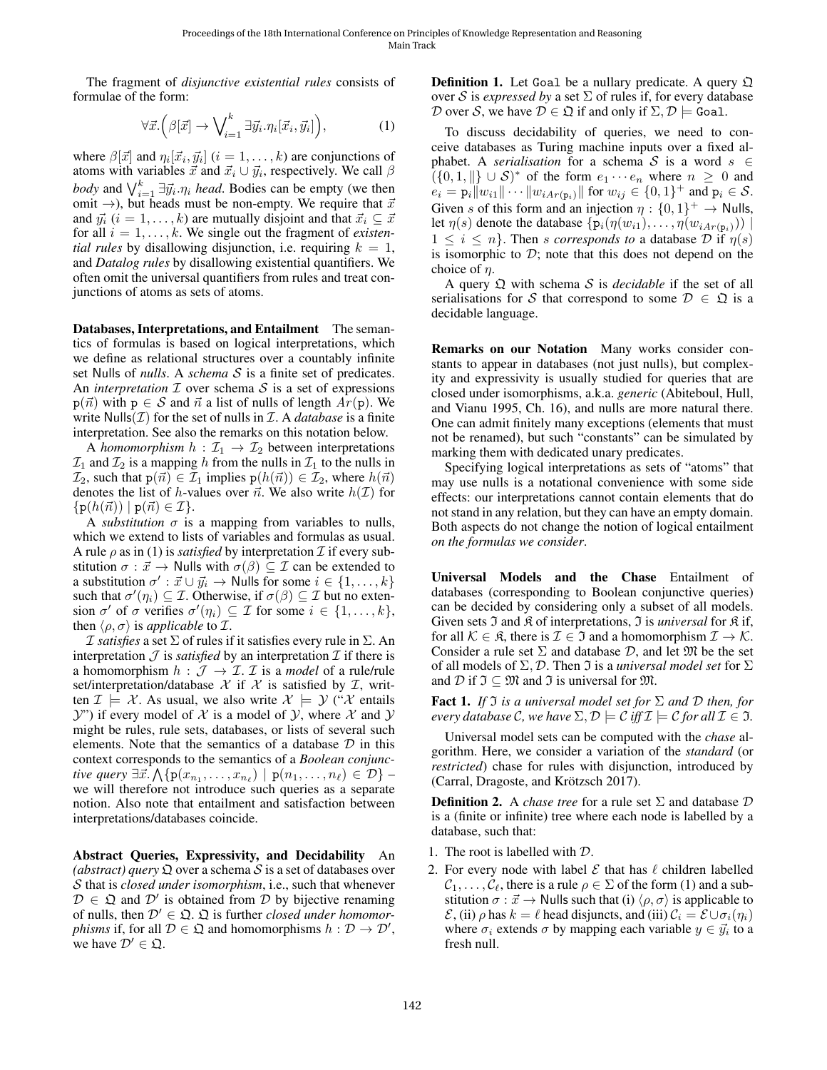The fragment of *disjunctive existential rules* consists of formulae of the form:

$$
\forall \vec{x}. \left( \beta[\vec{x}] \rightarrow \bigvee_{i=1}^{k} \exists \vec{y}_i . \eta_i[\vec{x}_i, \vec{y}_i] \right), \tag{1}
$$

where  $\beta[\vec{x}]$  and  $\eta_i[\vec{x}_i, \vec{y}_i]$   $(i = 1, \dots, k)$  are conjunctions of atoms with variables  $\vec{x}$  and  $\vec{x}_i \cup \vec{y}_i$ , respectively. We call  $\beta$ *body* and  $\bigvee_{i=1}^{k} \exists \vec{y_i} . \eta_i$  *head*. Bodies can be empty (we then omit  $\rightarrow$ ), but heads must be non-empty. We require that  $\vec{x}$ and  $\vec{y}_i$  ( $i = 1, \ldots, k$ ) are mutually disjoint and that  $\vec{x}_i \subseteq \vec{x}$ for all  $i = 1, \ldots, k$ . We single out the fragment of *existential rules* by disallowing disjunction, i.e. requiring  $k = 1$ , and *Datalog rules* by disallowing existential quantifiers. We often omit the universal quantifiers from rules and treat conjunctions of atoms as sets of atoms.

Databases, Interpretations, and Entailment The semantics of formulas is based on logical interpretations, which we define as relational structures over a countably infinite set Nulls of *nulls*. A *schema* S is a finite set of predicates. An *interpretation*  $I$  over schema  $S$  is a set of expressions  $p(\vec{n})$  with  $p \in S$  and  $\vec{n}$  a list of nulls of length  $Ar(p)$ . We write  $Nulls(\mathcal{I})$  for the set of nulls in  $\mathcal{I}$ . A *database* is a finite interpretation. See also the remarks on this notation below.

A *homomorphism*  $h : \mathcal{I}_1 \to \mathcal{I}_2$  between interpretations  $\mathcal{I}_1$  and  $\mathcal{I}_2$  is a mapping h from the nulls in  $\mathcal{I}_1$  to the nulls in  $\mathcal{I}_2$ , such that  $p(\vec{n}) \in \mathcal{I}_1$  implies  $p(h(\vec{n})) \in \mathcal{I}_2$ , where  $h(\vec{n})$ denotes the list of h-values over  $\vec{n}$ . We also write  $h(\mathcal{I})$  for  $\{p(h(\vec{n})) \mid p(\vec{n}) \in \mathcal{I}\}.$ 

A *substitution*  $\sigma$  is a mapping from variables to nulls, which we extend to lists of variables and formulas as usual. A rule  $\rho$  as in [\(1\)](#page-1-0) is *satisfied* by interpretation  $\mathcal I$  if every substitution  $\sigma : \vec{x} \to$  Nulls with  $\sigma(\beta) \subseteq \mathcal{I}$  can be extended to a substitution  $\sigma' : \vec{x} \cup \vec{y}_i \rightarrow$  Nulls for some  $i \in \{1, ..., k\}$ such that  $\sigma'(\eta_i) \subseteq \mathcal{I}$ . Otherwise, if  $\sigma(\beta) \subseteq \mathcal{I}$  but no extension  $\sigma'$  of  $\sigma$  verifies  $\sigma'(\eta_i) \subseteq \mathcal{I}$  for some  $i \in \{1, ..., k\},$ then  $\langle \rho, \sigma \rangle$  is *applicable* to *I*.

*I satisfies* a set  $\Sigma$  of rules if it satisfies every rule in  $\Sigma$ . An interpretation  $\mathcal J$  is *satisfied* by an interpretation  $\mathcal I$  if there is a homomorphism  $h : \mathcal{J} \to \mathcal{I}$ . *T* is a *model* of a rule/rule set/interpretation/database  $X$  if  $X$  is satisfied by  $I$ , written  $\mathcal{I} \models \mathcal{X}$ . As usual, we also write  $\mathcal{X} \models \mathcal{Y}$  ("X entails  $Y'$ ) if every model of X is a model of Y, where X and Y might be rules, rule sets, databases, or lists of several such elements. Note that the semantics of a database  $D$  in this context corresponds to the semantics of a *Boolean conjunctive query*  $\exists \vec{x}.\bigwedge \{p(x_{n_1}, \ldots, x_{n_\ell}) \mid p(n_1, \ldots, n_\ell) \in \mathcal{D}\}$  – we will therefore not introduce such queries as a separate notion. Also note that entailment and satisfaction between interpretations/databases coincide.

Abstract Queries, Expressivity, and Decidability An (*abstract*) *query*  $\Omega$  over a schema S is a set of databases over S that is *closed under isomorphism*, i.e., such that whenever  $\mathcal{D} \in \mathfrak{Q}$  and  $\mathcal{D}'$  is obtained from  $\mathcal D$  by bijective renaming of nulls, then  $\mathcal{D}' \in \mathfrak{Q}$ .  $\mathfrak Q$  is further *closed under homomorphisms* if, for all  $D \in \mathfrak{Q}$  and homomorphisms  $h : D \to D'$ , we have  $\mathcal{D}' \in \mathfrak{Q}$ .

**Definition 1.** Let Goal be a nullary predicate. A query  $\Omega$ over S is *expressed by* a set  $\Sigma$  of rules if, for every database D over S, we have  $D \in \mathfrak{Q}$  if and only if  $\Sigma, \mathcal{D} \models$  Goal.

<span id="page-1-0"></span>To discuss decidability of queries, we need to conceive databases as Turing machine inputs over a fixed alphabet. A *serialisation* for a schema S is a word  $s \in$  $((0,1, \|) \cup S)^*$  of the form  $e_1 \cdots e_n$  where  $n \geq 0$  and  $e_i = \mathbf{p}_i ||w_{i1}|| \cdots ||w_{iAr(\mathbf{p}_i)}||$  for  $w_{ij} \in \{0,1\}^+$  and  $\mathbf{p}_i \in \mathcal{S}$ . Given s of this form and an injection  $\eta: \{0,1\}^+ \to$  Nulls, let  $\eta(s)$  denote the database  $\{p_i(\eta(w_{i1}), \ldots, \eta(w_{iAr(p_i)}))\}$  $1 \leq i \leq n$ . Then *s* corresponds to a database D if  $\eta(s)$ is isomorphic to  $D$ ; note that this does not depend on the choice of  $\eta$ .

A query Q with schema S is *decidable* if the set of all serialisations for S that correspond to some  $\mathcal{D} \in \mathfrak{Q}$  is a decidable language.

Remarks on our Notation Many works consider constants to appear in databases (not just nulls), but complexity and expressivity is usually studied for queries that are closed under isomorphisms, a.k.a. *generic* [\(Abiteboul, Hull,](#page-9-10) [and Vianu 1995,](#page-9-10) Ch. 16), and nulls are more natural there. One can admit finitely many exceptions (elements that must not be renamed), but such "constants" can be simulated by marking them with dedicated unary predicates.

Specifying logical interpretations as sets of "atoms" that may use nulls is a notational convenience with some side effects: our interpretations cannot contain elements that do not stand in any relation, but they can have an empty domain. Both aspects do not change the notion of logical entailment *on the formulas we consider*.

Universal Models and the Chase Entailment of databases (corresponding to Boolean conjunctive queries) can be decided by considering only a subset of all models. Given sets  $\Im$  and  $\Re$  of interpretations,  $\Im$  is *universal* for  $\Re$  if, for all  $\mathcal{K} \in \mathfrak{K}$ , there is  $\mathcal{I} \in \mathfrak{I}$  and a homomorphism  $\mathcal{I} \to \mathcal{K}$ . Consider a rule set  $\Sigma$  and database D, and let  $\mathfrak{M}$  be the set of all models of  $\Sigma$ ,  $\mathcal{D}$ . Then  $\mathcal I$  is a *universal model set* for  $\Sigma$ and D if  $\mathfrak{I} \subset \mathfrak{M}$  and  $\mathfrak{I}$  is universal for  $\mathfrak{M}$ .

<span id="page-1-1"></span>**Fact 1.** *If*  $\Im$  *is a universal model set for*  $\Sigma$  *and*  $\Im$  *then, for every database* C, we have  $\Sigma$ ,  $\mathcal{D} \models \mathcal{C}$  *iff*  $\mathcal{I} \models \mathcal{C}$  for all  $\mathcal{I} \in \mathcal{I}$ .

Universal model sets can be computed with the *chase* algorithm. Here, we consider a variation of the *standard* (or *restricted*) chase for rules with disjunction, introduced by (Carral, Dragoste, and Krötzsch 2017).

**Definition 2.** A *chase tree* for a rule set  $\Sigma$  and database  $D$ is a (finite or infinite) tree where each node is labelled by a database, such that:

- 1. The root is labelled with D.
- 2. For every node with label  $\mathcal E$  that has  $\ell$  children labelled  $\mathcal{C}_1, \ldots, \mathcal{C}_{\ell}$ , there is a rule  $\rho \in \Sigma$  of the form [\(1\)](#page-1-0) and a substitution  $\sigma : \vec{x} \to$  Nulls such that (i)  $\langle \rho, \sigma \rangle$  is applicable to  $\mathcal{E}$ , (ii)  $\rho$  has  $k = \ell$  head disjuncts, and (iii)  $\mathcal{C}_i = \mathcal{E} \cup \sigma_i(\eta_i)$ where  $\sigma_i$  extends  $\sigma$  by mapping each variable  $y \in \vec{y_i}$  to a fresh null.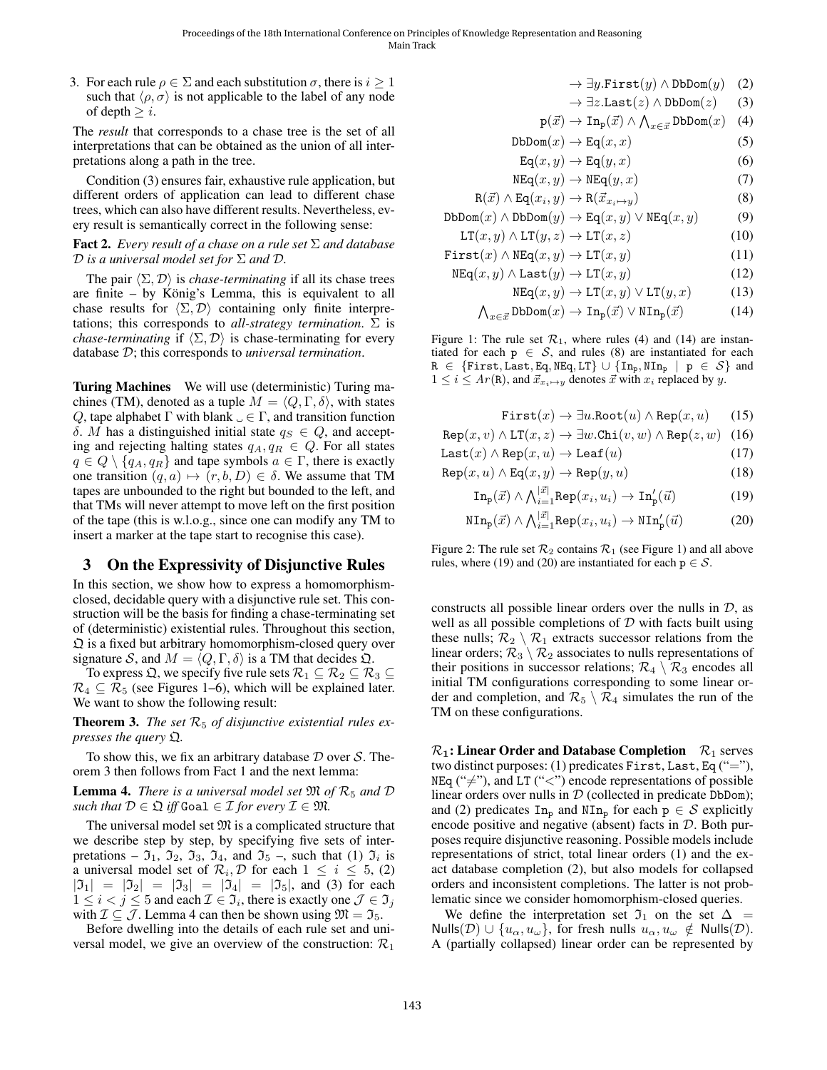3. For each rule  $\rho \in \Sigma$  and each substitution  $\sigma$ , there is  $i \geq 1$ such that  $\langle \rho, \sigma \rangle$  is not applicable to the label of any node of depth  $\geq i$ .

The *result* that corresponds to a chase tree is the set of all interpretations that can be obtained as the union of all interpretations along a path in the tree.

Condition (3) ensures fair, exhaustive rule application, but different orders of application can lead to different chase trees, which can also have different results. Nevertheless, every result is semantically correct in the following sense:

#### <span id="page-2-9"></span>Fact 2. *Every result of a chase on a rule set* Σ *and database* D *is a universal model set for* Σ *and* D*.*

The pair  $\langle \Sigma, \mathcal{D} \rangle$  is *chase-terminating* if all its chase trees are finite – by König's Lemma, this is equivalent to all chase results for  $\langle \Sigma, \mathcal{D} \rangle$  containing only finite interpretations; this corresponds to *all-strategy termination*.  $\Sigma$  is *chase-terminating* if  $\langle \Sigma, \mathcal{D} \rangle$  is chase-terminating for every database D; this corresponds to *universal termination*.

Turing Machines We will use (deterministic) Turing machines (TM), denoted as a tuple  $M = \langle Q, \Gamma, \delta \rangle$ , with states Q, tape alphabet  $\Gamma$  with blank  $\Box \in \Gamma$ , and transition function δ. M has a distinguished initial state  $q_S \in Q$ , and accepting and rejecting halting states  $q_A, q_R \in Q$ . For all states  $q \in Q \setminus \{q_A, q_R\}$  and tape symbols  $a \in \Gamma$ , there is exactly one transition  $(q, a) \mapsto (r, b, D) \in \delta$ . We assume that TM tapes are unbounded to the right but bounded to the left, and that TMs will never attempt to move left on the first position of the tape (this is w.l.o.g., since one can modify any TM to insert a marker at the tape start to recognise this case).

# <span id="page-2-11"></span>3 On the Expressivity of Disjunctive Rules

In this section, we show how to express a homomorphismclosed, decidable query with a disjunctive rule set. This construction will be the basis for finding a chase-terminating set of (deterministic) existential rules. Throughout this section,  $\Omega$  is a fixed but arbitrary homomorphism-closed query over signature S, and  $M = \langle Q, \Gamma, \delta \rangle$  is a TM that decides  $\mathfrak{Q}$ .

To express  $\mathfrak{Q},$  we specify five rule sets  $\mathcal{R}_1 \subseteq \mathcal{R}_2 \subseteq \mathcal{R}_3 \subseteq$  $\mathcal{R}_4 \subseteq \mathcal{R}_5$  (see Figures [1–](#page-2-0)[6\)](#page-5-0), which will be explained later. We want to show the following result:

<span id="page-2-1"></span>**Theorem 3.** The set  $\mathcal{R}_5$  of disjunctive existential rules ex*presses the query* Q*.*

To show this, we fix an arbitrary database  $D$  over  $S$ . Theorem [3](#page-2-1) then follows from Fact [1](#page-1-1) and the next lemma:

<span id="page-2-2"></span>**Lemma 4.** *There is a universal model set*  $\mathfrak{M}$  *of*  $\mathcal{R}_5$  *and*  $\mathcal{D}$ *such that*  $D \in \mathfrak{Q}$  *iff* Goal  $\in \mathcal{I}$  *for every*  $\mathcal{I} \in \mathfrak{M}$ *.* 

The universal model set  $M$  is a complicated structure that we describe step by step, by specifying five sets of interpretations –  $\mathfrak{I}_1$ ,  $\mathfrak{I}_2$ ,  $\mathfrak{I}_3$ ,  $\mathfrak{I}_4$ , and  $\mathfrak{I}_5$  –, such that (1)  $\mathfrak{I}_i$  is a universal model set of  $\mathcal{R}_i, \mathcal{D}$  for each  $1 \leq i \leq 5$ , (2)  $|{\mathfrak I}_1| = |{\mathfrak I}_2| = |{\mathfrak I}_3| = |{\mathfrak I}_4| = |{\mathfrak I}_5|$ , and (3) for each  $1 \leq i < j \leq 5$  and each  $\mathcal{I} \in \mathfrak{I}_i$ , there is exactly one  $\mathcal{J} \in \mathfrak{I}_j$ with  $\mathcal{I} \subseteq \mathcal{J}$ . Lemma [4](#page-2-2) can then be shown using  $\mathfrak{M} = \mathfrak{I}_5$ .

Before dwelling into the details of each rule set and universal model, we give an overview of the construction:  $\mathcal{R}_1$ 

- <span id="page-2-15"></span><span id="page-2-14"></span><span id="page-2-3"></span> $\rightarrow \exists y.\text{First}(y) \land \text{DbDom}(y)$  (2)
- <span id="page-2-5"></span> $\rightarrow \exists z$ .Last(z)  $\wedge$  DbDom(z) (3)

$$
p(\vec{x}) \to \text{In}_{p}(\vec{x}) \land \bigwedge_{x \in \vec{x}} \text{DbDom}(x) \quad (4)
$$

<span id="page-2-0"></span>
$$
DbDom(x) \to Eq(x, x) \tag{5}
$$

$$
\text{Eq}(x, y) \to \text{Eq}(y, x) \tag{6}
$$

$$
NEq(x, y) \to NEq(y, x)
$$
 (7)

$$
R(\vec{x}) \land Eq(x_i, y) \to R(\vec{x}_{x_i \mapsto y})
$$
(8)  
DbDom(x)  $\land$ DbDom(y)  $\to$  Eq(x, y)  $\lor$  NEq(x, y) (9)

$$
LT(x, y) \land LT(y, z) \rightarrow LT(x, z)
$$
 (10)

First
$$
(x)
$$
  $\land$  NEq $(x, y)$   $\rightarrow$  LT $(x, y)$  (11)

$$
NEq(x, y) \land Last(y) \to LT(x, y)
$$
 (12)

<span id="page-2-4"></span>
$$
NEq(x, y) \to LT(x, y) \lor LT(y, x)
$$
 (13)

$$
\bigwedge_{x \in \vec{x}} \text{DbDom}(x) \to \text{In}_{\text{p}}(\vec{x}) \lor \text{NIn}_{\text{p}}(\vec{x}) \tag{14}
$$

Figure 1: The rule set  $\mathcal{R}_1$ , where rules [\(4\)](#page-2-3) and [\(14\)](#page-2-4) are instantiated for each  $p \in S$ , and rules [\(8\)](#page-2-5) are instantiated for each  $R \in \{First, Last, Eq, NEq, LT\} \cup \{In_p, NIn_p \mid p \in S\}$  and  $1 \leq i \leq Ar(\mathbf{R})$ , and  $\vec{x}_{x_i \mapsto y}$  denotes  $\vec{x}$  with  $x_i$  replaced by y.

<span id="page-2-13"></span><span id="page-2-12"></span><span id="page-2-10"></span><span id="page-2-7"></span><span id="page-2-6"></span>First
$$
(x) \rightarrow \exists u.\text{Root}(u) \land \text{Rep}(x, u)
$$
 (15)

<span id="page-2-8"></span>
$$
Rep(x, v) \land LT(x, z) \rightarrow \exists w \text{.Chi}(v, w) \land Rep(z, w)
$$
 (16)

$$
Last(x) \land Rep(x, u) \to Leaf(u)
$$
 (17)

$$
\text{Rep}(x, u) \land \text{Eq}(x, y) \to \text{Rep}(y, u)
$$
\n(18)

$$
\operatorname{In}_{\mathbf{p}}(\vec{x}) \wedge \bigwedge_{i=1}^{|\vec{x}|} \operatorname{Rep}(x_i, u_i) \to \operatorname{In}_{\mathbf{p}}'(\vec{u})
$$
(19)

$$
NIn_{p}(\vec{x}) \wedge \bigwedge_{i=1}^{|\vec{x}|} \text{Rep}(x_{i}, u_{i}) \rightarrow NIn'_{p}(\vec{u})
$$
 (20)

Figure 2: The rule set  $\mathcal{R}_2$  contains  $\mathcal{R}_1$  (see Figure [1\)](#page-2-0) and all above rules, where [\(19\)](#page-2-6) and [\(20\)](#page-2-7) are instantiated for each  $p \in S$ .

constructs all possible linear orders over the nulls in  $D$ , as well as all possible completions of  $D$  with facts built using these nulls;  $\mathcal{R}_2 \setminus \mathcal{R}_1$  extracts successor relations from the linear orders;  $\mathcal{R}_3 \setminus \mathcal{R}_2$  associates to nulls representations of their positions in successor relations;  $\mathcal{R}_4 \setminus \mathcal{R}_3$  encodes all initial TM configurations corresponding to some linear order and completion, and  $\mathcal{R}_5 \setminus \mathcal{R}_4$  simulates the run of the TM on these configurations.

 $\mathcal{R}_1$ : Linear Order and Database Completion  $\mathcal{R}_1$  serves two distinct purposes: (1) predicates First, Last, Eq ("="), NEq (" $\neq$ "), and LT ("<") encode representations of possible linear orders over nulls in  $D$  (collected in predicate DbDom); and (2) predicates  $\text{In}_{p}$  and  $\text{NIn}_{p}$  for each  $p \in S$  explicitly encode positive and negative (absent) facts in  $D$ . Both purposes require disjunctive reasoning. Possible models include representations of strict, total linear orders (1) and the exact database completion (2), but also models for collapsed orders and inconsistent completions. The latter is not problematic since we consider homomorphism-closed queries.

We define the interpretation set  $\mathfrak{I}_1$  on the set  $\Delta =$ Nulls(D)  $\cup$  { $u_{\alpha}, u_{\omega}$ }, for fresh nulls  $u_{\alpha}, u_{\omega} \notin$  Nulls(D). A (partially collapsed) linear order can be represented by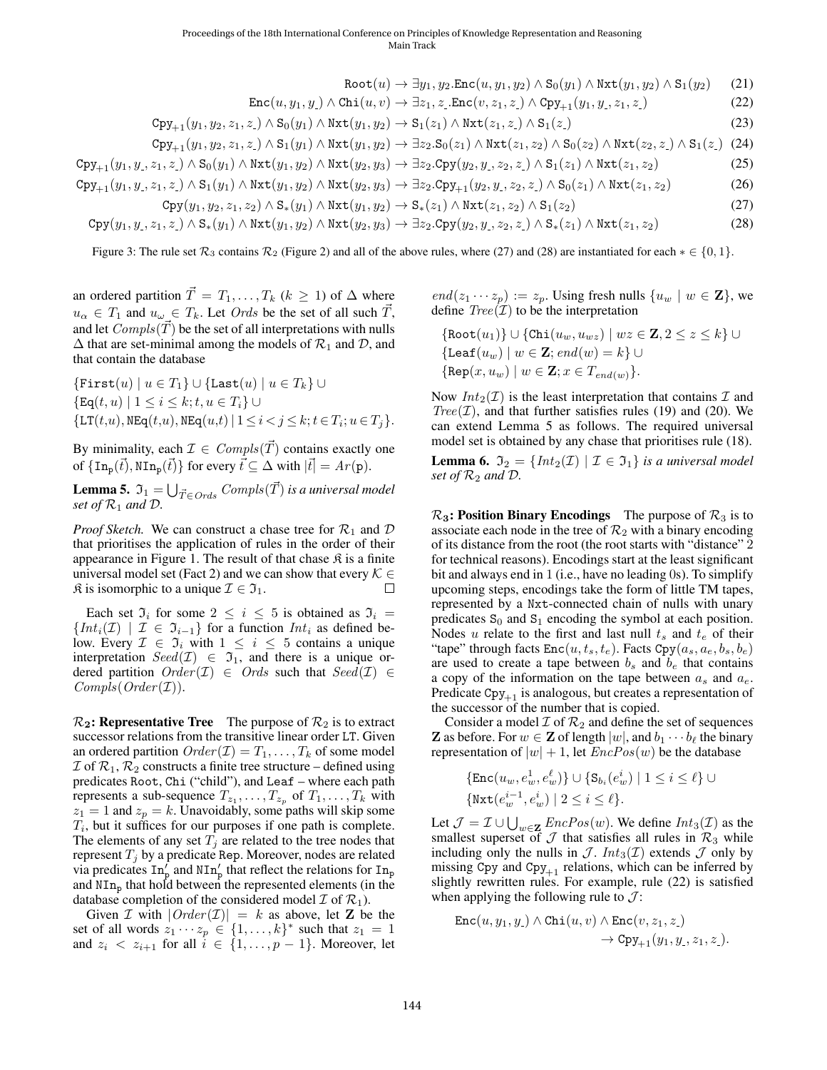$$
\text{Root}(u) \to \exists y_1, y_2. \text{Enc}(u, y_1, y_2) \land \text{S}_0(y_1) \land \text{Nxt}(y_1, y_2) \land \text{S}_1(y_2)
$$
(21)  

$$
\text{Enc}(u, y_1, y_1) \land \text{Chi}(u, v) \to \exists z_1, z_1. \text{Enc}(v, z_1, z_1) \land \text{Cpy}_{+1}(y_1, y_1, z_1, z_1)
$$
(22)

$$
Cpy_{+1}(y_1, y_2, z_1, z_1) \wedge S_0(y_1) \wedge \text{Nxt}(y_1, y_2) \rightarrow S_1(z_1) \wedge \text{Nxt}(z_1, z_1) \wedge S_1(z_1)
$$
\n
$$
(23)
$$

$$
\text{Cpy}_{+1}(y_1, y_2, z_1, z_\cdot) \wedge \text{S}_1(y_1) \wedge \text{Nxt}(y_1, y_2) \rightarrow \exists z_2. \text{S}_0(z_1) \wedge \text{Nxt}(z_1, z_2) \wedge \text{S}_0(z_2) \wedge \text{Nxt}(z_2, z_\cdot) \wedge \text{S}_1(z_\cdot) \tag{24}
$$

<span id="page-3-4"></span>
$$
Cpy_{+1}(y_1, y_1, z_1, z_1) \wedge S_0(y_1) \wedge \text{Nxt}(y_1, y_2) \wedge \text{Nxt}(y_2, y_3) \rightarrow \exists z_2.Cpy(y_2, y_1, z_2, z_1) \wedge S_1(z_1) \wedge \text{Nxt}(z_1, z_2)
$$
\n
$$
(25)
$$

$$
\text{Cpy}_{+1}(y_1, y_1, z_1, z_1) \wedge \text{S}_1(y_1) \wedge \text{Nxt}(y_1, y_2) \wedge \text{Nxt}(y_2, y_3) \rightarrow \exists z_2.\text{Cpy}_{+1}(y_2, y_1, z_2, z_1) \wedge \text{S}_0(z_1) \wedge \text{Nxt}(z_1, z_2)
$$
 (26)

$$
Cpy(y_1, y_2, z_1, z_2) \wedge S_*(y_1) \wedge \text{Nxt}(y_1, y_2) \rightarrow S_*(z_1) \wedge \text{Nxt}(z_1, z_2) \wedge S_1(z_2)
$$
\n
$$
(27)
$$

$$
Cpy(y_1, y_1, z_1, z_1) \wedge S_*(y_1) \wedge Nxt(y_1, y_2) \wedge Nxt(y_2, y_3) \rightarrow \exists z_2.Cpy(y_2, y_1, z_2, z_1) \wedge S_*(z_1) \wedge Nxt(z_1, z_2)
$$
\n
$$
(28)
$$

Figure 3: The rule set  $\mathcal{R}_3$  contains  $\mathcal{R}_2$  (Figure [2\)](#page-2-8) and all of the above rules, where [\(27\)](#page-3-0) and [\(28\)](#page-3-1) are instantiated for each  $* \in \{0, 1\}$ .

an ordered partition  $T = T_1, \ldots, T_k$  ( $k \ge 1$ ) of  $\Delta$  where  $u_{\alpha} \in T_1$  and  $u_{\omega} \in T_k$ . Let *Ords* be the set of all such  $\overrightarrow{T}$ , and let  $Compls(\vec{T})$  be the set of all interpretations with nulls  $\Delta$  that are set-minimal among the models of  $\mathcal{R}_1$  and  $\mathcal{D}$ , and that contain the database

$$
\begin{aligned} &\left\{\texttt{First}(u) \mid u \in T_1\right\} \cup \left\{\texttt{Last}(u) \mid u \in T_k\right\} \cup \\ &\left\{\texttt{Eq}(t, u) \mid 1 \leq i \leq k; t, u \in T_i\right\} \cup \\ &\left\{\texttt{LT}(t, u), \texttt{NEq}(t, u), \texttt{NEq}(u, t) \mid 1 \leq i < j \leq k; t \in T_i; u \in T_j\right\}.\end{aligned}
$$

By minimality, each  $\mathcal{I} \in \text{Complex}(\overrightarrow{T})$  contains exactly one of  $\{\text{In}_{p}(\vec{t}), \text{NIn}_{p}(\vec{t})\}$  for every  $\vec{t} \subseteq \Delta$  with  $|\vec{t}| = Ar(p)$ .

<span id="page-3-2"></span>**Lemma 5.**  $\mathfrak{I}_1 = \bigcup_{\vec{T} \in Ords} Compls(\vec{T})$  *is a universal model set of*  $\mathcal{R}_1$  *and*  $\mathcal{D}$ *.* 

*Proof Sketch.* We can construct a chase tree for  $\mathcal{R}_1$  and  $\mathcal{D}$ that prioritises the application of rules in the order of their appearance in Figure [1.](#page-2-0) The result of that chase  $\hat{\mathcal{R}}$  is a finite universal model set (Fact [2\)](#page-2-9) and we can show that every  $\mathcal{K} \in$  $\mathfrak{K}$  is isomorphic to a unique  $\mathcal{I} \in \mathfrak{I}_1$ .

Each set  $\mathfrak{I}_i$  for some  $2 \leq i \leq 5$  is obtained as  $\mathfrak{I}_i =$  $\{Int_i(\mathcal{I}) \mid \mathcal{I} \in \mathfrak{I}_{i-1}\}\$  for a function  $Int_i$  as defined below. Every  $\mathcal{I} \in \mathfrak{I}_i$  with  $1 \leq i \leq 5$  contains a unique interpretation  $Seed(\mathcal{I}) \in \mathcal{I}_1$ , and there is a unique ordered partition  $Order(\mathcal{I}) \in Ords$  such that  $Seed(\mathcal{I}) \in$  $Complex(T).$ 

 $\mathcal{R}_2$ : Representative Tree The purpose of  $\mathcal{R}_2$  is to extract successor relations from the transitive linear order LT. Given an ordered partition  $Order(\mathcal{I}) = T_1, \ldots, T_k$  of some model  $\mathcal I$  of  $\mathcal R_1, \mathcal R_2$  constructs a finite tree structure – defined using predicates Root, Chi ("child"), and Leaf – where each path represents a sub-sequence  $T_{z_1}, \ldots, T_{z_p}$  of  $T_1, \ldots, T_k$  with  $z_1 = 1$  and  $z_p = k$ . Unavoidably, some paths will skip some  $T_i$ , but it suffices for our purposes if one path is complete. The elements of any set  $T_i$  are related to the tree nodes that represent  $T_i$  by a predicate Rep. Moreover, nodes are related via predicates  $\text{In}_{p}^{\prime}$  and  $\text{NIn}_{p}^{\prime}$  that reflect the relations for  $\text{In}_{p}$ and  $NIn<sub>p</sub>$  that hold between the represented elements (in the database completion of the considered model  $\mathcal I$  of  $\mathcal R_1$ ).

Given *I* with  $|Order(I)| = k$  as above, let **Z** be the set of all words  $z_1 \cdots z_p \in \{1, \ldots, k\}^*$  such that  $z_1 = 1$ and  $z_i < z_{i+1}$  for all  $i \in \{1, ..., p-1\}$ . Moreover, let

<span id="page-3-3"></span><span id="page-3-1"></span><span id="page-3-0"></span> $end(z_1 \cdots z_p) := z_p$ . Using fresh nulls  $\{u_w \mid w \in \mathbf{Z}\}\)$ , we define  $Tree(\mathcal{I})$  to be the interpretation

$$
\begin{aligned} &\{\text{Root}(u_1)\}\cup\{\text{Chi}(u_w,u_{wz})\mid wz\in\mathbf{Z}, 2\leq z\leq k\}\cup\\ &\{\text{Leaf}(u_w)\mid w\in\mathbf{Z};\mathit{end}(w)=k\}\cup\\ &\{\text{Rep}(x,u_w)\mid w\in\mathbf{Z}; x\in T_{\mathit{end}(w)}\}. \end{aligned}
$$

Now  $Int_2(\mathcal{I})$  is the least interpretation that contains  $\mathcal I$  and  $Tree(\mathcal{I})$ , and that further satisfies rules [\(19\)](#page-2-6) and [\(20\)](#page-2-7). We can extend Lemma [5](#page-3-2) as follows. The required universal model set is obtained by any chase that prioritises rule [\(18\)](#page-2-10).

<span id="page-3-5"></span>**Lemma 6.**  $\mathfrak{I}_2 = \{ Int_2(\mathcal{I}) \mid \mathcal{I} \in \mathfrak{I}_1 \}$  *is a universal model set of*  $\mathcal{R}_2$  *and*  $\mathcal{D}$ *.* 

 $\mathcal{R}_3$ : Position Binary Encodings The purpose of  $\mathcal{R}_3$  is to associate each node in the tree of  $\mathcal{R}_2$  with a binary encoding of its distance from the root (the root starts with "distance" 2 for technical reasons). Encodings start at the least significant bit and always end in 1 (i.e., have no leading 0s). To simplify upcoming steps, encodings take the form of little TM tapes, represented by a Nxt-connected chain of nulls with unary predicates  $S_0$  and  $S_1$  encoding the symbol at each position. Nodes u relate to the first and last null  $t_s$  and  $t_e$  of their "tape" through facts  $Enc(u, t_s, t_e)$ . Facts  $Cpy(a_s, a_e, b_s, b_e)$ are used to create a tape between  $b_s$  and  $b_e$  that contains a copy of the information on the tape between  $a_s$  and  $a_e$ . Predicate  $Cpy_{+1}$  is analogous, but creates a representation of the successor of the number that is copied.

Consider a model  $\mathcal I$  of  $\mathcal R_2$  and define the set of sequences **Z** as before. For  $w \in \mathbb{Z}$  of length  $|w|$ , and  $b_1 \cdots b_\ell$  the binary representation of  $|w| + 1$ , let  $EncPos(w)$  be the database

$$
\{\texttt{Enc}(u_w, e_w^1, e_w^\ell)\} \cup \{\texttt{S}_{b_i}(e_w^i) \mid 1 \leq i \leq \ell\} \cup
$$
  

$$
\{\texttt{Nxt}(e_w^{i-1}, e_w^i) \mid 2 \leq i \leq \ell\}.
$$

Let  $\mathcal{J} = \mathcal{I} \cup \bigcup_{w \in \mathbf{Z}} EncPos(w)$ . We define  $Int_3(\mathcal{I})$  as the smallest superset of  $J$  that satisfies all rules in  $\mathcal{R}_3$  while including only the nulls in  $\mathcal{J}$ .  $Int_3(\mathcal{I})$  extends  $\mathcal{J}$  only by missing Cpy and  $Cpy_{+1}$  relations, which can be inferred by slightly rewritten rules. For example, rule [\(22\)](#page-3-3) is satisfied when applying the following rule to  $\mathcal{J}$ :

$$
\begin{aligned} \mathtt{Enc}(u,y_1,y_\centerdot)\wedge\mathtt{Chi}(u,v)\wedge\mathtt{Enc}(v,z_1,z_\centerdot) \\ &\to\mathtt{Cpy}_{+1}(y_1,y_\centerdot,z_1,z_\centerdot). \end{aligned}
$$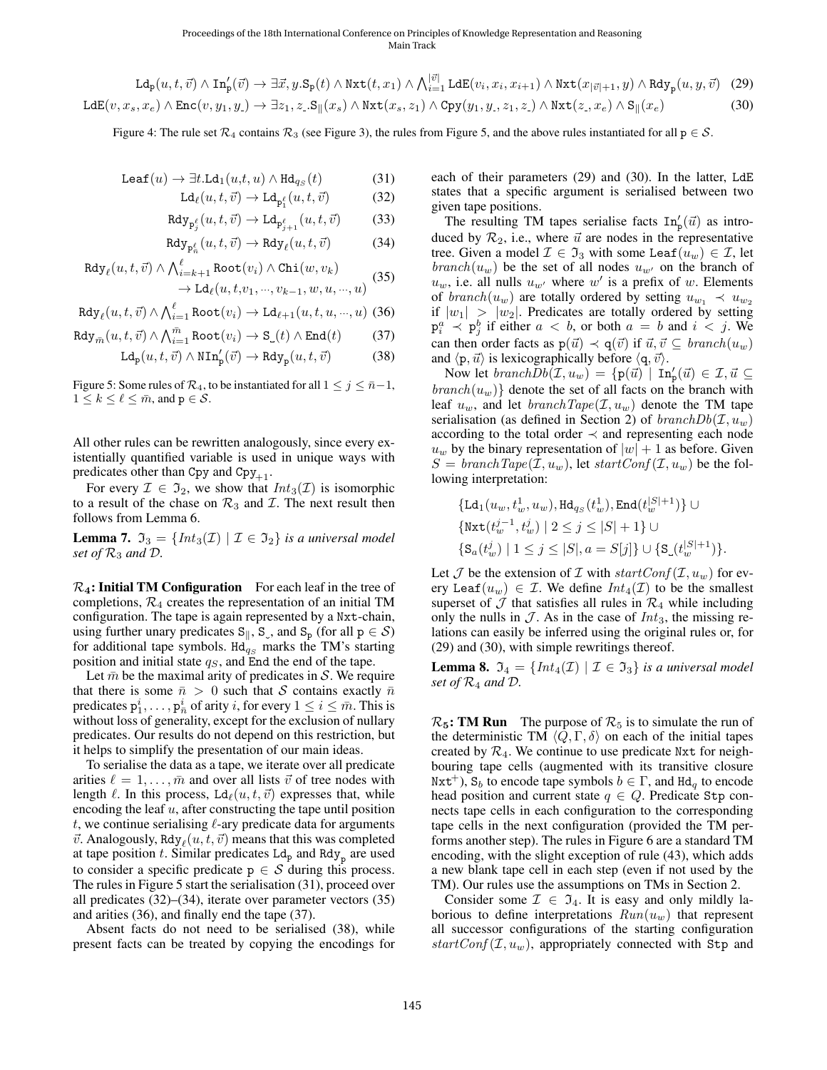<span id="page-4-10"></span>
$$
\mathrm{Ld}_{\mathrm{p}}(u,t,\vec{v})\wedge\mathrm{In}_{\mathrm{p}}'(\vec{v})\to\exists\vec{x},y.\mathrm{S}_{\mathrm{p}}(t)\wedge\mathrm{Nxt}(t,x_{1})\wedge\bigwedge_{i=1}^{|\vec{v}|}\mathrm{Ld}\mathrm{E}(v_{i},x_{i},x_{i+1})\wedge\mathrm{Nxt}(x_{|\vec{v}|+1},y)\wedge\mathrm{Rdy}_{\mathrm{p}}(u,y,\vec{v})\tag{29}
$$

$$
LdE(v, x_s, x_e) \wedge Enc(v, y_1, y_1) \rightarrow \exists z_1, z \_S \parallel (x_s) \wedge \text{Nxt}(x_s, z_1) \wedge \text{Cpy}(y_1, y_1, z_1, z_1) \wedge \text{Nxt}(z_1, x_e) \wedge S_{\parallel}(x_e)
$$
(30)

<span id="page-4-0"></span>Figure 4: The rule set  $\mathcal{R}_4$  contains  $\mathcal{R}_3$  (see Figure [3\)](#page-3-4), the rules from Figure [5,](#page-4-0) and the above rules instantiated for all  $p \in \mathcal{S}$ .

$$
Leaf(u) \to \exists t. Ld_1(u,t,u) \land Hd_{qs}(t)
$$
 (31)

$$
Ld_{\ell}(u, t, \vec{v}) \to Ld_{p_1^{\ell}}(u, t, \vec{v})
$$
 (32)

$$
\text{Rdy}_{\text{p}_{j}^{\ell}}(u,t,\vec{v}) \to \text{Ld}_{\text{p}_{j+1}^{\ell}}(u,t,\vec{v}) \tag{33}
$$

$$
\text{Rdy}_{\text{P}_n^{\ell}}(u, t, \vec{v}) \to \text{Rdy}_{\ell}(u, t, \vec{v}) \tag{34}
$$

$$
\operatorname{Rdy}_{\ell}(u, t, \vec{v}) \wedge \bigwedge_{i=k+1}^{\ell} \operatorname{Root}(v_i) \wedge \operatorname{Chi}(w, v_k) \rightarrow \operatorname{Ld}_{\ell}(u, t, v_1, \dots, v_{k-1}, w, u, \dots, u)
$$
(35)

$$
\text{Rdy}_{\ell}(u, t, \vec{v}) \wedge \bigwedge_{i=1}^{\ell} \text{Root}(v_i) \rightarrow \text{Ld}_{\ell+1}(u, t, u, \dots, u)
$$
 (36)

 $R<sub>d</sub>$ 

$$
\mathrm{dy}_{\bar{m}}(u,t,\vec{v}) \wedge \bigwedge_{i=1}^{\bar{m}} \mathrm{Root}(v_i) \to \mathrm{S}_{\mathsf{L}}(t) \wedge \mathrm{End}(t) \tag{37}
$$

$$
\mathrm{Ld}_\mathrm{p}(u,t,\vec{v})\wedge\mathrm{NIn}_\mathrm{p}'(\vec{v})\rightarrow\mathrm{Rdy}_\mathrm{p}(u,t,\vec{v})\qquad \qquad (38)
$$

Figure 5: Some rules of  $\mathcal{R}_4$ , to be instantiated for all  $1 \leq j \leq \bar{n}-1$ ,  $1 \leq k \leq \ell \leq \bar{m}$ , and  $p \in \mathcal{S}$ .

All other rules can be rewritten analogously, since every existentially quantified variable is used in unique ways with predicates other than Cpy and Cpy<sub>+1</sub>.

For every  $\mathcal{I} \in \mathfrak{I}_2$ , we show that  $Int_3(\mathcal{I})$  is isomorphic to a result of the chase on  $\mathcal{R}_3$  and  $\mathcal{I}$ . The next result then follows from Lemma [6.](#page-3-5)

**Lemma 7.**  $\mathfrak{I}_3 = \{ Int_3(\mathcal{I}) \mid \mathcal{I} \in \mathfrak{I}_2 \}$  *is a universal model set of*  $\mathcal{R}_3$  *and*  $\mathcal{D}$ *.* 

 $\mathcal{R}_4$ : Initial TM Configuration For each leaf in the tree of completions,  $\mathcal{R}_4$  creates the representation of an initial TM configuration. The tape is again represented by a Nxt-chain, using further unary predicates  $S_{\parallel}$ , S<sub>\_</sub>, and  $S_{p}$  (for all  $p \in S$ ) for additional tape symbols. Hd<sub>qs</sub> marks the TM's starting position and initial state  $q_S$ , and End the end of the tape.

Let  $\bar{m}$  be the maximal arity of predicates in S. We require that there is some  $\bar{n} > 0$  such that S contains exactly  $\bar{n}$ predicates  $p_1^i, \ldots, p_{\overline{n}}^i$  of arity i, for every  $1 \le i \le \overline{m}$ . This is without loss of generality, except for the exclusion of nullary predicates. Our results do not depend on this restriction, but it helps to simplify the presentation of our main ideas.

To serialise the data as a tape, we iterate over all predicate arities  $\ell = 1, \ldots, \bar{m}$  and over all lists  $\vec{v}$  of tree nodes with length  $\ell$ . In this process, Ld $_{\ell}(u, t, \vec{v})$  expresses that, while encoding the leaf  $u$ , after constructing the tape until position  $t$ , we continue serialising  $\ell$ -ary predicate data for arguments  $\vec{v}$ . Analogously, Rdy $_{\ell}(u, t, \vec{v})$  means that this was completed at tape position  $t$ . Similar predicates  $Ld_p$  and  $Rd_y$  are used to consider a specific predicate  $p \in S$  during this process. The rules in Figure [5](#page-4-0) start the serialisation [\(31\)](#page-4-1), proceed over all predicates [\(32\)](#page-4-2)–[\(34\)](#page-4-3), iterate over parameter vectors [\(35\)](#page-4-4) and arities [\(36\)](#page-4-5), and finally end the tape [\(37\)](#page-4-6).

Absent facts do not need to be serialised [\(38\)](#page-4-7), while present facts can be treated by copying the encodings for <span id="page-4-9"></span><span id="page-4-8"></span><span id="page-4-2"></span><span id="page-4-1"></span>each of their parameters [\(29\)](#page-4-8) and [\(30\)](#page-4-9). In the latter, LdE states that a specific argument is serialised between two given tape positions.

<span id="page-4-4"></span><span id="page-4-3"></span>The resulting TM tapes serialise facts  $\text{In}_{p}'(\vec{u})$  as introduced by  $\mathcal{R}_2$ , i.e., where  $\vec{u}$  are nodes in the representative tree. Given a model  $\mathcal{I} \in \mathfrak{I}_3$  with some Leaf $(u_w) \in \mathcal{I}$ , let  $branch(u_w)$  be the set of all nodes  $u_{w'}$  on the branch of  $u_w$ , i.e. all nulls  $u_{w'}$  where w' is a prefix of w. Elements of branch(u<sub>w</sub>) are totally ordered by setting  $u_{w_1} \prec u_{w_2}$ if  $|w_1| > |w_2|$ . Predicates are totally ordered by setting  $p_i^a \prec p_j^b$  if either  $a < b$ , or both  $a = b$  and  $i < j$ . We can then order facts as  $p(\vec{u}) \prec q(\vec{v})$  if  $\vec{u}, \vec{v} \subseteq branch(u_w)$ and  $\langle p, \vec{u} \rangle$  is lexicographically before  $\langle q, \vec{v} \rangle$ .

<span id="page-4-7"></span><span id="page-4-6"></span><span id="page-4-5"></span>Now let  $branch\overline{Db}(\mathcal{I},u_w) = \{p(\vec{u}) \mid \text{In}_p'(\vec{u}) \in \mathcal{I}, \vec{u} \subseteq \mathcal{I}\}$  $branch(u_w)$ } denote the set of all facts on the branch with leaf  $u_w$ , and let  $branchTape(\mathcal{I}, u_w)$  denote the TM tape serialisation (as defined in Section [2\)](#page-0-1) of  $branchDb(\mathcal{I}, u_w)$ according to the total order  $\prec$  and representing each node  $u_w$  by the binary representation of  $|w| + 1$  as before. Given  $S = branchTape(\mathcal{I}, u_w)$ , let  $startConf(\mathcal{I}, u_w)$  be the following interpretation:

$$
\begin{aligned} &\left\{ \mathtt{Ld}_1(u_w,t_w^1,u_w), \mathtt{Hd}_{q_S}(t_w^1), \mathtt{End}(t_w^{|S|+1})\right\} \cup \\ &\left\{ \mathtt{Nxt}(t_w^{j-1},t_w^j) \mid 2 \leq j \leq |S|+1 \right\} \cup \\ &\left\{ \mathtt{S}_a(t_w^j) \mid 1 \leq j \leq |S|, a=S[j] \right\} \cup \{ \mathtt{S}_-(t_w^{|S|+1}) \}. \end{aligned}
$$

Let  $\mathcal J$  be the extension of  $\mathcal I$  with  $startConf(\mathcal I, u_w)$  for every Leaf $(u_w) \in \mathcal{I}$ . We define  $Int_4(\mathcal{I})$  to be the smallest superset of  $\mathcal J$  that satisfies all rules in  $\mathcal R_4$  while including only the nulls in  $\mathcal{J}$ . As in the case of  $Int_3$ , the missing relations can easily be inferred using the original rules or, for [\(29\)](#page-4-8) and [\(30\)](#page-4-9), with simple rewritings thereof.

**Lemma 8.**  $\mathfrak{I}_4 = \{ Int_4(\mathcal{I}) \mid \mathcal{I} \in \mathfrak{I}_3 \}$  *is a universal model set of*  $\mathcal{R}_4$  *and*  $\mathcal{D}$ *.* 

 $\mathcal{R}_5$ : TM Run The purpose of  $\mathcal{R}_5$  is to simulate the run of the deterministic TM  $\langle Q, \Gamma, \delta \rangle$  on each of the initial tapes created by  $\mathcal{R}_4$ . We continue to use predicate Nxt for neighbouring tape cells (augmented with its transitive closure  $Nxt^+$ ),  $S_b$  to encode tape symbols  $b \in \Gamma$ , and  $Hd_a$  to encode head position and current state  $q \in Q$ . Predicate Stp connects tape cells in each configuration to the corresponding tape cells in the next configuration (provided the TM performs another step). The rules in Figure [6](#page-5-0) are a standard TM encoding, with the slight exception of rule [\(43\)](#page-5-1), which adds a new blank tape cell in each step (even if not used by the TM). Our rules use the assumptions on TMs in Section [2.](#page-0-1)

Consider some  $\mathcal{I} \in \mathfrak{I}_4$ . It is easy and only mildly laborious to define interpretations  $Run(u_w)$  that represent all successor configurations of the starting configuration  $startConf(\mathcal{I}, u_w)$ , appropriately connected with Stp and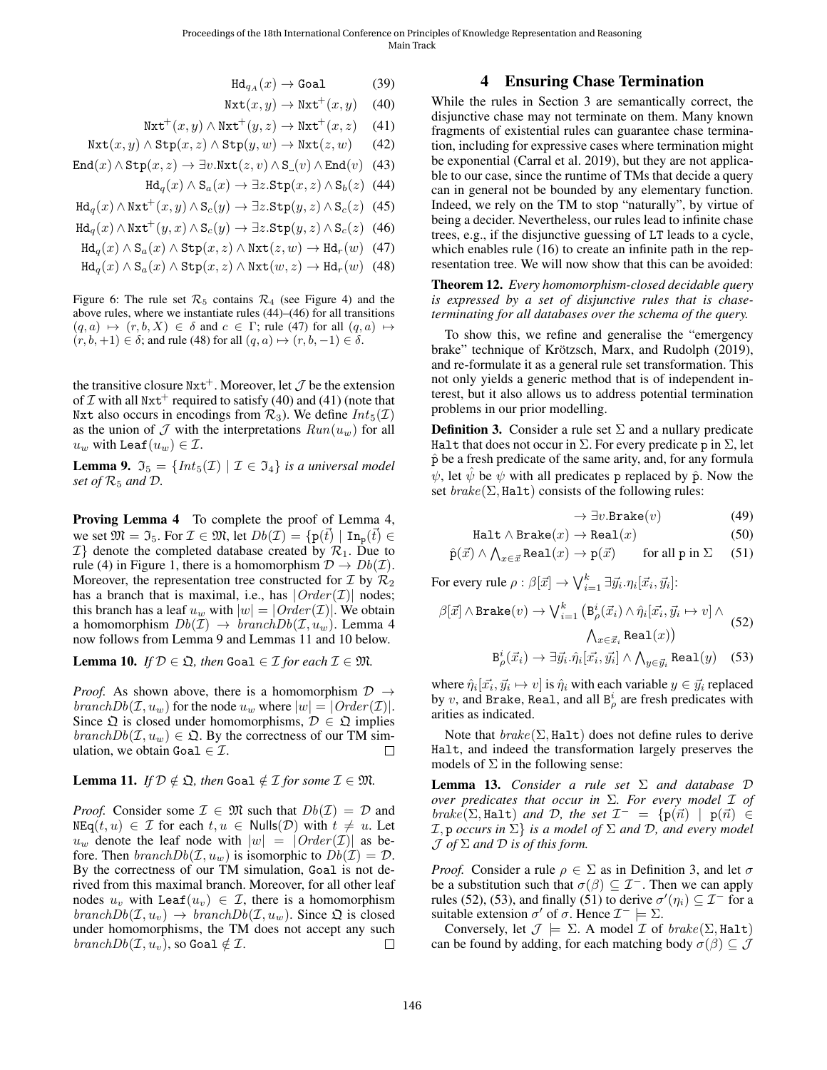$\text{Hd}_{q_A}(x) \to \text{Goal}$  (39)

$$
\text{Nxt}(x, y) \to \text{Nxt}^+(x, y) \quad (40)
$$

 $\text{Nxt}^+(x, y) \wedge \text{Nxt}^+(y, z) \rightarrow \text{Nxt}^+(x, z)$  (41)

<span id="page-5-0"></span> $Nxt(x, y) \wedge \text{Stp}(x, z) \wedge \text{Stp}(y, w) \rightarrow Nxt(z, w)$  (42)

$$
End(x) \wedge \text{Stp}(x, z) \rightarrow \exists v. \text{Nxt}(z, v) \wedge \text{S}_\square(v) \wedge \text{End}(v) \tag{43}
$$

$$
Hd_q(x) \wedge S_a(x) \rightarrow \exists z . Stp(x, z) \wedge S_b(z) \quad (44)
$$

$$
Hd_q(x) \wedge Nxt^+(x, y) \wedge S_c(y) \rightarrow \exists z . \text{Stp}(y, z) \wedge S_c(z) \tag{45}
$$

$$
Hd_q(x) \wedge \text{Nxt}^+(y, x) \wedge S_c(y) \to \exists z . \text{Stp}(y, z) \wedge S_c(z) \tag{46}
$$

$$
Hd_q(x) \wedge S_a(x) \wedge \text{Stp}(x, z) \wedge \text{Nxt}(z, w) \rightarrow Hd_r(w) \quad (47)
$$

$$
Hd_q(x) \wedge S_a(x) \wedge \text{Stp}(x, z) \wedge Nxt(w, z) \rightarrow Hd_r(w) \quad (48)
$$

Figure 6: The rule set  $\mathcal{R}_5$  contains  $\mathcal{R}_4$  (see Figure [4\)](#page-4-10) and the above rules, where we instantiate rules [\(44\)](#page-5-2)–[\(46\)](#page-5-3) for all transitions  $(q, a) \mapsto (r, b, X) \in \delta$  and  $c \in \Gamma$ ; rule [\(47\)](#page-5-4) for all  $(q, a) \mapsto$  $(r, b, +1) \in \delta$ ; and rule [\(48\)](#page-5-5) for all  $(q, a) \mapsto (r, b, -1) \in \delta$ .

the transitive closure  $Nxt^+$ . Moreover, let  $\mathcal J$  be the extension of  $\mathcal I$  with all Nxt<sup>+</sup> required to satisfy [\(40\)](#page-5-6) and [\(41\)](#page-5-7) (note that Nxt also occurs in encodings from  $\mathcal{R}_3$ ). We define  $Int_5(\mathcal{I})$ as the union of  $\mathcal J$  with the interpretations  $Run(u_w)$  for all  $u_w$  with Leaf $(u_w) \in \mathcal{I}$ .

<span id="page-5-8"></span>**Lemma 9.**  $\mathfrak{I}_5 = \{ Int_5(\mathcal{I}) \mid \mathcal{I} \in \mathfrak{I}_4 \}$  *is a universal model set of*  $\mathcal{R}_5$  *and*  $\mathcal{D}$ *.* 

Proving Lemma [4](#page-2-2) To complete the proof of Lemma [4,](#page-2-2) we set  $\mathfrak{M} = \mathfrak{I}_5$ . For  $\mathcal{I} \in \mathfrak{M}$ , let  $Db(\mathcal{I}) = \{p(\vec{t}) \mid \text{In}_p(\vec{t}) \in$  $\mathcal{I}$  denote the completed database created by  $\mathcal{R}_1$ . Due to rule [\(4\)](#page-2-3) in Figure [1,](#page-2-0) there is a homomorphism  $\mathcal{D} \to Db(\mathcal{I})$ . Moreover, the representation tree constructed for  $\mathcal{I}$  by  $\mathcal{R}_2$ has a branch that is maximal, i.e., has  $|Order(\mathcal{I})|$  nodes; this branch has a leaf  $u_w$  with  $|w| = |Order(\mathcal{I})|$ . We obtain a homomorphism  $Db(\mathcal{I}) \rightarrow branchDb(\mathcal{I}, u_w)$ . Lemma [4](#page-2-2) now follows from Lemma [9](#page-5-8) and Lemmas [11](#page-5-9) and [10](#page-5-10) below.

<span id="page-5-10"></span>**Lemma 10.** *If*  $\mathcal{D} \in \mathfrak{Q}$ *, then* Goal  $\in \mathcal{I}$  *for each*  $\mathcal{I} \in \mathfrak{M}$ *.* 

*Proof.* As shown above, there is a homomorphism  $\mathcal{D} \rightarrow$ branch $Db(\mathcal{I}, u_w)$  for the node  $u_w$  where  $|w| = |Order(\mathcal{I})|$ . Since  $\mathfrak Q$  is closed under homomorphisms,  $\mathcal D \in \mathfrak Q$  implies  $branchDb(\mathcal{I}, u_w) \in \mathfrak{Q}$ . By the correctness of our TM simulation, we obtain Goal  $\in \mathcal{I}$ .  $\Box$ 

#### <span id="page-5-9"></span>**Lemma 11.** *If*  $D \notin \mathfrak{Q}$ *, then* Goal  $\notin \mathcal{I}$  *for some*  $\mathcal{I} \in \mathfrak{M}$ *.*

*Proof.* Consider some  $\mathcal{I} \in \mathfrak{M}$  such that  $Db(\mathcal{I}) = \mathcal{D}$  and  $NEq(t, u) \in \mathcal{I}$  for each  $t, u \in Nulls(\mathcal{D})$  with  $t \neq u$ . Let  $u_w$  denote the leaf node with  $|w| = |Order(\mathcal{I})|$  as before. Then  $branchDb(\mathcal{I}, u_w)$  is isomorphic to  $Db(\mathcal{I}) = \mathcal{D}$ . By the correctness of our TM simulation, Goal is not derived from this maximal branch. Moreover, for all other leaf nodes  $u_v$  with Leaf $(u_v) \in \mathcal{I}$ , there is a homomorphism  $branchDb(\mathcal{I}, u_v) \rightarrow branchDb(\mathcal{I}, u_w)$ . Since  $\mathfrak{Q}$  is closed under homomorphisms, the TM does not accept any such  $branchDb(\mathcal{I}, u_v)$ , so Goal  $\notin \mathcal{I}$ .  $\Box$ 

#### 4 Ensuring Chase Termination

<span id="page-5-18"></span><span id="page-5-7"></span><span id="page-5-6"></span><span id="page-5-2"></span><span id="page-5-1"></span>While the rules in Section [3](#page-2-11) are semantically correct, the disjunctive chase may not terminate on them. Many known fragments of existential rules can guarantee chase termination, including for expressive cases where termination might be exponential [\(Carral et al. 2019\)](#page-9-12), but they are not applicable to our case, since the runtime of TMs that decide a query can in general not be bounded by any elementary function. Indeed, we rely on the TM to stop "naturally", by virtue of being a decider. Nevertheless, our rules lead to infinite chase trees, e.g., if the disjunctive guessing of LT leads to a cycle, which enables rule [\(16\)](#page-2-12) to create an infinite path in the representation tree. We will now show that this can be avoided:

<span id="page-5-17"></span><span id="page-5-5"></span><span id="page-5-4"></span><span id="page-5-3"></span>Theorem 12. *Every homomorphism-closed decidable query is expressed by a set of disjunctive rules that is chaseterminating for all databases over the schema of the query.*

To show this, we refine and generalise the "emergency brake" technique of Krötzsch, Marx, and Rudolph [\(2019\)](#page-9-8), and re-formulate it as a general rule set transformation. This not only yields a generic method that is of independent interest, but it also allows us to address potential termination problems in our prior modelling.

<span id="page-5-11"></span>**Definition 3.** Consider a rule set  $\Sigma$  and a nullary predicate Halt that does not occur in  $\Sigma$ . For every predicate p in  $\Sigma$ , let  $\hat{p}$  be a fresh predicate of the same arity, and, for any formula  $\psi$ , let  $\hat{\psi}$  be  $\psi$  with all predicates p replaced by  $\hat{p}$ . Now the set  $\text{brake}(\Sigma, \text{Half})$  consists of the following rules:

<span id="page-5-19"></span><span id="page-5-15"></span><span id="page-5-14"></span><span id="page-5-13"></span><span id="page-5-12"></span>
$$
\rightarrow \exists v. \text{Brake}(v) \tag{49}
$$

$$
\text{Half } \wedge \text{Brake}(x) \to \text{Real}(x) \tag{50}
$$

$$
\hat{p}(\vec{x}) \wedge \bigwedge_{x \in \vec{x}} \text{Real}(x) \to p(\vec{x}) \qquad \text{for all } p \text{ in } \Sigma \tag{51}
$$

For every rule  $\rho: \beta[\vec{x}] \rightarrow \bigvee_{i=1}^k \exists \vec{y}_i . \eta_i[\vec{x}_i, \vec{y}_i]$ :

$$
\beta[\vec{x}] \land \text{Brake}(v) \to \bigvee_{i=1}^{k} \left( \mathbf{B}_{\rho}^{i}(\vec{x}_{i}) \land \hat{\eta}_{i}[\vec{x}_{i}, \vec{y}_{i} \mapsto v] \land \right. \\
\left. \bigwedge_{x \in \vec{x}_{i}} \text{Real}(x) \right)
$$
\n
$$
\mathbf{B}_{\rho}^{i}(\vec{x}_{i}) \to \exists \vec{y}_{i}.\hat{\eta}_{i}[\vec{x}_{i}, \vec{y}_{i}] \land \bigwedge_{y \in \vec{y}_{i}} \text{Real}(y) \quad (53)
$$

where  $\hat{\eta}_i[\vec{x_i}, \vec{y_i} \mapsto v]$  is  $\hat{\eta}_i$  with each variable  $y \in \vec{y_i}$  replaced by v, and Brake, Real, and all  $B_{\rho}^{i}$  are fresh predicates with arities as indicated.

Note that  $brake(\Sigma, \text{Half})$  does not define rules to derive Halt, and indeed the transformation largely preserves the models of  $\Sigma$  in the following sense:

<span id="page-5-16"></span>Lemma 13. *Consider a rule set* Σ *and database* D *over predicates that occur in* Σ*. For every model* I *of*  $brake$ ( $\Sigma$ , Halt) *and*  $D$ *, the set*  $\mathcal{I}^- = \{ \mathbf{p}(\vec{n}) \mid \mathbf{p}(\vec{n}) \in$  $\mathcal{I}, \mathsf{p}$  *occurs in*  $\Sigma$ *} is a model of*  $\Sigma$  *and*  $\mathcal{D}$ *, and every model* J *of* Σ *and* D *is of this form.*

*Proof.* Consider a rule  $\rho \in \Sigma$  as in Definition [3,](#page-5-11) and let  $\sigma$ be a substitution such that  $\sigma(\beta) \subseteq \mathcal{I}^-$ . Then we can apply rules [\(52\)](#page-5-12), [\(53\)](#page-5-13), and finally [\(51\)](#page-5-14) to derive  $\sigma'(\eta_i) \subseteq \mathcal{I}^-$  for a suitable extension  $\sigma'$  of  $\sigma$ . Hence  $\mathcal{I}^- \models \Sigma$ .

Conversely, let  $\mathcal{J} \models \Sigma$ . A model  $\mathcal I$  of  $\mathit{brake}(\Sigma, \texttt{Half})$ can be found by adding, for each matching body  $\sigma(\beta) \subseteq \mathcal{J}$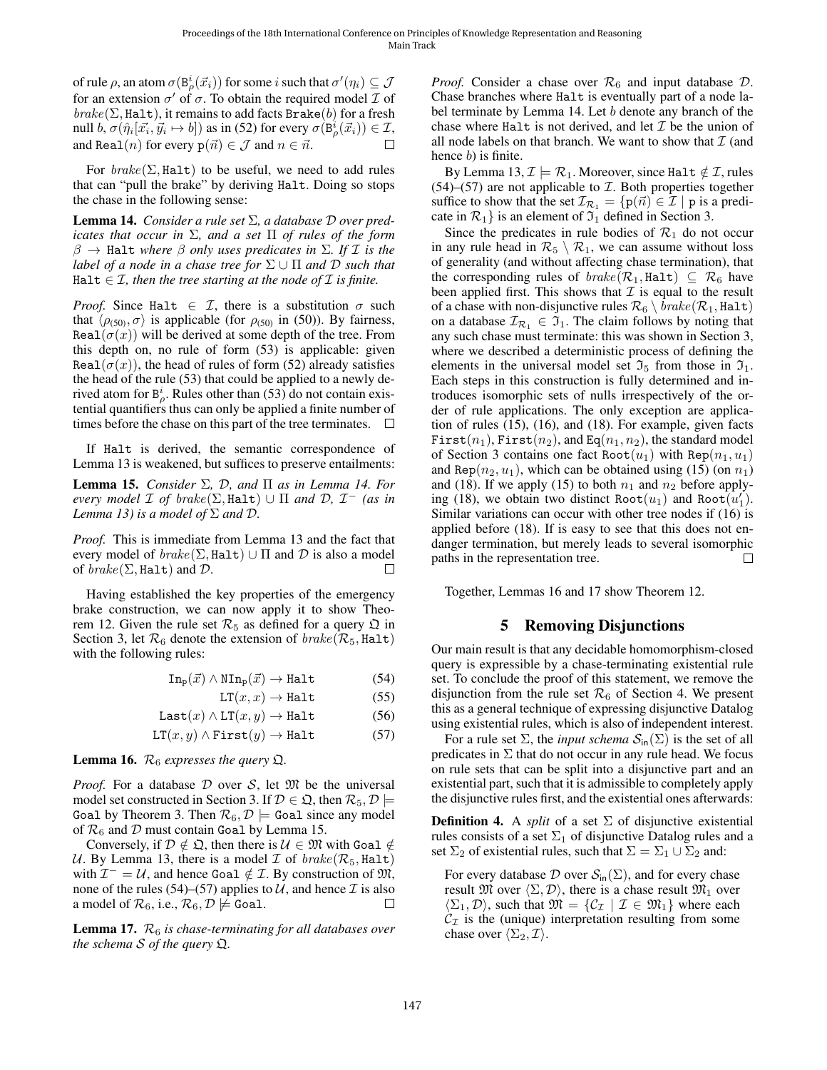of rule  $\rho,$  an atom  $\sigma(\mathtt{B}^i_\rho(\vec{x}_i))$  for some  $i$  such that  $\sigma'(\eta_i)\subseteq\mathcal{J}$ for an extension  $\sigma'$  of  $\sigma$ . To obtain the required model  $\mathcal I$  of  $brake(\Sigma, \text{Half})$ , it remains to add facts Brake(b) for a fresh null  $b, \sigma(\hat{\eta}_i[\vec{x_i}, \vec{y_i} \mapsto b])$  as in [\(52\)](#page-5-12) for every  $\sigma(\dot{B}^i_\rho(\vec{x_i})) \in \mathcal{I}$ , and Real(*n*) for every  $p(\vec{n}) \in \mathcal{J}$  and  $n \in \vec{n}$ . П

For  $\mathit{brake}(\Sigma, \text{Half})$  to be useful, we need to add rules that can "pull the brake" by deriving Halt. Doing so stops the chase in the following sense:

<span id="page-6-0"></span>Lemma 14. *Consider a rule set* Σ*, a database* D *over predicates that occur in* Σ*, and a set* Π *of rules of the form*  $β \rightarrow$  Halt *where*  $β$  *only uses predicates in*  $Σ$ *. If*  $I$  *is the label of a node in a chase tree for*  $\Sigma \cup \Pi$  *and*  $D$  *such that* Halt  $\in \mathcal{I}$ , then the tree starting at the node of  $\mathcal{I}$  is finite.

*Proof.* Since Halt  $\in \mathcal{I}$ , there is a substitution  $\sigma$  such that  $\langle \rho_{(50)}, \sigma \rangle$  $\langle \rho_{(50)}, \sigma \rangle$  $\langle \rho_{(50)}, \sigma \rangle$  is applicable (for  $\rho_{(50)}$  in (50)). By fairness, Real( $\sigma(x)$ ) will be derived at some depth of the tree. From this depth on, no rule of form [\(53\)](#page-5-13) is applicable: given Real( $\sigma(x)$ ), the head of rules of form [\(52\)](#page-5-12) already satisfies the head of the rule [\(53\)](#page-5-13) that could be applied to a newly derived atom for  $B^i_\rho$ . Rules other than [\(53\)](#page-5-13) do not contain existential quantifiers thus can only be applied a finite number of times before the chase on this part of the tree terminates.  $\Box$ 

If Halt is derived, the semantic correspondence of Lemma [13](#page-5-16) is weakened, but suffices to preserve entailments:

<span id="page-6-1"></span>Lemma 15. *Consider* Σ*,* D*, and* Π *as in Lemma [14.](#page-6-0) For every model*  $\mathcal I$  *of brake*( $\Sigma$ , Halt)  $\cup$   $\Pi$  *and*  $\mathcal D$ ,  $\mathcal I^-$  *(as in*) *Lemma* [13\)](#page-5-16) *is a model of*  $\Sigma$  *and*  $D$ *.* 

*Proof.* This is immediate from Lemma [13](#page-5-16) and the fact that every model of  $brake(\Sigma, \text{Half}) \cup \Pi$  and  $D$  is also a model of  $\text{brake}(\Sigma, \text{Half})$  and  $\mathcal D$ . П

Having established the key properties of the emergency brake construction, we can now apply it to show Theo-rem [12.](#page-5-17) Given the rule set  $\mathcal{R}_5$  as defined for a query  $\mathfrak Q$  in Section [3,](#page-2-11) let  $\mathcal{R}_6$  denote the extension of  $brake(\mathcal{R}_5, \text{Half})$ with the following rules:

$$
\text{In}_{\text{p}}(\vec{x}) \land \text{NIn}_{\text{p}}(\vec{x}) \to \text{Half} \tag{54}
$$

$$
LT(x, x) \to \text{Half} \tag{55}
$$

$$
Last(x) \land LT(x, y) \rightarrow \text{Half} \tag{56}
$$

$$
LT(x, y) \land First(y) \rightarrow Halt
$$
 (57)

<span id="page-6-4"></span>**Lemma 16.**  $\mathcal{R}_6$  *expresses the query*  $\Omega$ *.* 

*Proof.* For a database  $D$  over  $S$ , let  $M$  be the universal model set constructed in Section [3.](#page-2-11) If  $\mathcal{D} \in \mathfrak{Q}$ , then  $\mathcal{R}_5, \mathcal{D} \models$ Goal by Theorem [3.](#page-2-1) Then  $\mathcal{R}_6$ ,  $\mathcal{D} \models$  Goal since any model of  $\mathcal{R}_6$  and D must contain Goal by Lemma [15.](#page-6-1)

Conversely, if  $D \notin \mathfrak{Q}$ , then there is  $\mathcal{U} \in \mathfrak{M}$  with Goal  $\notin$ U. By Lemma [13,](#page-5-16) there is a model  $\mathcal I$  of  $\mathit{brake}(\mathcal R_5, \text{Half})$ with  $\mathcal{I}^- = \mathcal{U}$ , and hence Goal  $\notin \mathcal{I}$ . By construction of  $\mathfrak{M}$ , none of the rules [\(54\)](#page-6-2)–[\(57\)](#page-6-3) applies to U, and hence  $\mathcal I$  is also a model of  $\mathcal{R}_6$ , i.e.,  $\mathcal{R}_6, \mathcal{D} \not\models$  Goal.  $\Box$ 

<span id="page-6-5"></span>Lemma 17.  $\mathcal{R}_6$  *is chase-terminating for all databases over the schema* S *of the query* Q*.*

*Proof.* Consider a chase over  $\mathcal{R}_6$  and input database  $\mathcal{D}$ . Chase branches where Halt is eventually part of a node la-bel terminate by Lemma [14.](#page-6-0) Let b denote any branch of the chase where Halt is not derived, and let  $\mathcal I$  be the union of all node labels on that branch. We want to show that  $\mathcal I$  (and hence *b*) is finite.

By Lemma [13,](#page-5-16)  $\mathcal{I} \models \mathcal{R}_1$ . Moreover, since Halt  $\notin \mathcal{I}$ , rules  $(54)$ – $(57)$  are not applicable to  $I$ . Both properties together suffice to show that the set  $\mathcal{I}_{\mathcal{R}_1} = \{p(\vec{n}) \in \mathcal{I} \mid p \text{ is a predi-1}\}$ cate in  $\mathcal{R}_1$ } is an element of  $\mathcal{I}_1$  defined in Section [3.](#page-2-11)

Since the predicates in rule bodies of  $\mathcal{R}_1$  do not occur in any rule head in  $\mathcal{R}_5 \setminus \mathcal{R}_1$ , we can assume without loss of generality (and without affecting chase termination), that the corresponding rules of  $\mathit{brake}(\mathcal{R}_1, \text{Half}) \subseteq \mathcal{R}_6$  have been applied first. This shows that  $\mathcal I$  is equal to the result of a chase with non-disjunctive rules  $\mathcal{R}_6 \setminus \text{brake}(\mathcal{R}_1, \text{Half})$ on a database  $\mathcal{I}_{\mathcal{R}_1} \in \mathfrak{I}_1$ . The claim follows by noting that any such chase must terminate: this was shown in Section [3,](#page-2-11) where we described a deterministic process of defining the elements in the universal model set  $\mathfrak{I}_5$  from those in  $\mathfrak{I}_1$ . Each steps in this construction is fully determined and introduces isomorphic sets of nulls irrespectively of the order of rule applications. The only exception are application of rules [\(15\)](#page-2-13), [\(16\)](#page-2-12), and [\(18\)](#page-2-10). For example, given facts First $(n_1)$ , First $(n_2)$ , and Eq $(n_1, n_2)$ , the standard model of Section [3](#page-2-11) contains one fact Root $(u_1)$  with Rep $(n_1, u_1)$ and Rep $(n_2, u_1)$ , which can be obtained using [\(15\)](#page-2-13) (on  $n_1$ ) and [\(18\)](#page-2-10). If we apply [\(15\)](#page-2-13) to both  $n_1$  and  $n_2$  before apply-ing [\(18\)](#page-2-10), we obtain two distinct Root $(u_1)$  and Root $(u'_1)$ . Similar variations can occur with other tree nodes if [\(16\)](#page-2-12) is applied before [\(18\)](#page-2-10). If is easy to see that this does not endanger termination, but merely leads to several isomorphic paths in the representation tree. П

Together, Lemmas [16](#page-6-4) and [17](#page-6-5) show Theorem [12.](#page-5-17)

#### 5 Removing Disjunctions

<span id="page-6-2"></span>Our main result is that any decidable homomorphism-closed query is expressible by a chase-terminating existential rule set. To conclude the proof of this statement, we remove the disjunction from the rule set  $\mathcal{R}_6$  of Section [4.](#page-5-18) We present this as a general technique of expressing disjunctive Datalog using existential rules, which is also of independent interest.

<span id="page-6-3"></span>For a rule set  $\Sigma$ , the *input schema*  $S_{\text{in}}(\Sigma)$  is the set of all predicates in  $\Sigma$  that do not occur in any rule head. We focus on rule sets that can be split into a disjunctive part and an existential part, such that it is admissible to completely apply the disjunctive rules first, and the existential ones afterwards:

<span id="page-6-6"></span>**Definition 4.** A *split* of a set  $\Sigma$  of disjunctive existential rules consists of a set  $\Sigma_1$  of disjunctive Datalog rules and a set  $\Sigma_2$  of existential rules, such that  $\Sigma = \Sigma_1 \cup \Sigma_2$  and:

For every database  $\mathcal D$  over  $\mathcal S_{\text{in}}(\Sigma)$ , and for every chase result  $\mathfrak{M}$  over  $\langle \Sigma, \mathcal{D} \rangle$ , there is a chase result  $\mathfrak{M}_1$  over  $\langle \Sigma_1, \mathcal{D} \rangle$ , such that  $\mathfrak{M} = \{ \mathcal{C}_{\mathcal{I}} \mid \mathcal{I} \in \mathfrak{M}_1 \}$  where each  $C_{\mathcal{I}}$  is the (unique) interpretation resulting from some chase over  $\langle \Sigma_2, \mathcal{I} \rangle$ .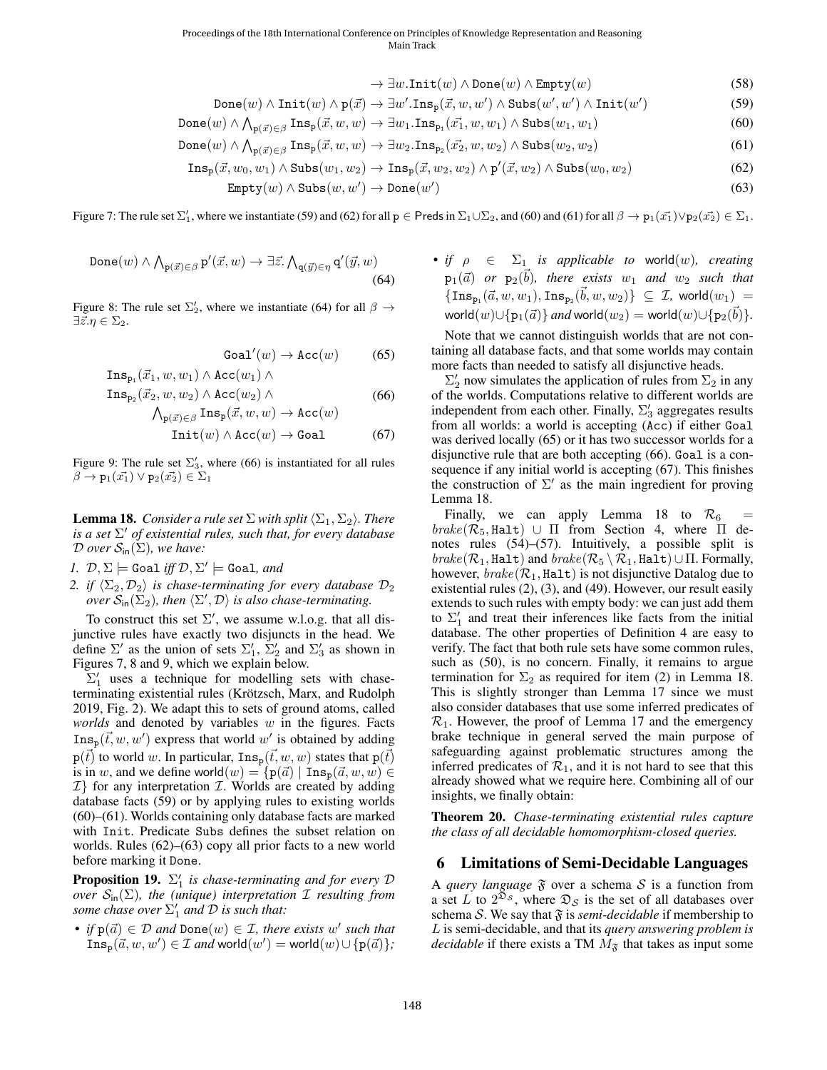$$
\rightarrow \exists w.\mathtt{Init}(w) \land \mathtt{Done}(w) \land \mathtt{Empty}(w) \tag{58}
$$

$$
Done(w) \land \text{Init}(w) \land p(\vec{x}) \rightarrow \exists w'.\text{Ins}_p(\vec{x}, w, w') \land \text{Subs}(w', w') \land \text{Init}(w') \tag{59}
$$

<span id="page-7-6"></span>
$$
Done(w) \land \bigwedge_{p(\vec{x}) \in \beta} Ins_p(\vec{x}, w, w) \to \exists w_1 \cdot Ins_{p_1}(\vec{x_1}, w, w_1) \land Subs(w_1, w_1)
$$
\n
$$
(60)
$$

$$
Done(w) \land \bigwedge_{p(\vec{x}) \in \beta} Ins_p(\vec{x}, w, w) \to \exists w_2. Ins_{p_2}(\vec{x_2}, w, w_2) \land Subs(w_2, w_2)
$$
\n
$$
(61)
$$

$$
Ins_{p}(\vec{x}, w_0, w_1) \wedge Subs(w_1, w_2) \rightarrow Ins_{p}(\vec{x}, w_2, w_2) \wedge p'(\vec{x}, w_2) \wedge Subs(w_0, w_2)
$$
\n
$$
(62)
$$

$$
Empty(w) \land Subs(w, w') \rightarrow Done(w') \tag{63}
$$

Figure 7: The rule set  $\Sigma'_1$ , where we instantiate [\(59\)](#page-7-0) and [\(62\)](#page-7-1) for all  $p \in P$ reds in  $\Sigma_1 \cup \Sigma_2$ , and [\(60\)](#page-7-2) and [\(61\)](#page-7-3) for all  $\beta \to p_1(\vec{x_1}) \vee p_2(\vec{x_2}) \in \Sigma_1$ .

<span id="page-7-7"></span>
$$
\text{Done}(w) \land \bigwedge_{\mathbf{p}(\vec{x}) \in \beta} \mathbf{p}'(\vec{x}, w) \to \exists \vec{z}. \bigwedge_{\mathbf{q}(\vec{y}) \in \eta} \mathbf{q}'(\vec{y}, w) \tag{64}
$$

<span id="page-7-8"></span>Figure 8: The rule set  $\Sigma'_2$ , where we instantiate [\(64\)](#page-7-4) for all  $\beta \rightarrow$  $\exists \vec{z}.\eta \in \Sigma_2.$ 

$$
\text{Goal}'(w) \to \text{Acc}(w) \tag{65}
$$

$$
\begin{aligned}\n\text{Ins}_{\mathbf{p}_1}(\vec{x}_1, w, w_1) \wedge \text{Acc}(w_1) \wedge \\
\text{Ins}_{\mathbf{p}_2}(\vec{x}_2, w, w_2) \wedge \text{Acc}(w_2) \wedge \\
&\qquad \wedge \quad \text{Ins} \ (\vec{x}, w, w) \rightarrow \text{Acc}(w) \\
\end{aligned} \tag{66}
$$

$$
\bigwedge_{\mathbf{p}(\vec{x}) \in \beta} \text{Ins}_{\mathbf{p}}(\vec{x}, w, w) \to \text{Acc}(w)
$$
  
Init(w)  $\land \text{Acc}(w) \to \text{Goal}$  (67)

Figure 9: The rule set  $\Sigma'_3$ , where [\(66\)](#page-7-5) is instantiated for all rules  $\beta \to p_1(\vec{x_1}) \vee p_2(\vec{x_2}) \in \Sigma_1$ 

<span id="page-7-12"></span>**Lemma 18.** *Consider a rule set*  $\Sigma$  *with split*  $\langle \Sigma_1, \Sigma_2 \rangle$ *. There is a set* Σ <sup>0</sup> *of existential rules, such that, for every database*  $\mathcal D$  *over*  $\mathcal S_{\text{in}}(\Sigma)$ *, we have:* 

*1.*  $\mathcal{D}, \Sigma \models$  Goal *iff*  $\mathcal{D}, \Sigma' \models$  Goal, and

*2. if*  $\langle \Sigma_2, \mathcal{D}_2 \rangle$  *is chase-terminating for every database*  $\mathcal{D}_2$ *over*  $S_{\text{in}}(\Sigma_2)$ , then  $\langle \Sigma', \mathcal{D} \rangle$  is also chase-terminating.

To construct this set  $\Sigma'$ , we assume w.l.o.g. that all disjunctive rules have exactly two disjuncts in the head. We define  $\Sigma'$  as the union of sets  $\Sigma'_1$ ,  $\Sigma'_2$  and  $\Sigma'_3$  as shown in Figures [7,](#page-7-6) [8](#page-7-7) and [9,](#page-7-8) which we explain below.

 $\Sigma'_1$  uses a technique for modelling sets with chaseterminating existential rules (Krötzsch, Marx, and Rudolph [2019,](#page-9-8) Fig. 2). We adapt this to sets of ground atoms, called *worlds* and denoted by variables w in the figures. Facts  $\text{Ins}_{\text{p}}(\vec{t}, w, w')$  express that world w' is obtained by adding  $p(\vec{t})$  to world w. In particular,  $\text{Ins}_p(\vec{t}, w, w)$  states that  $p(\vec{t})$ is in w, and we define world $(w) = \{p(\vec{a}) \mid \text{Ins}_p(\vec{a}, w, w) \in$  $\mathcal{I}$ } for any interpretation  $\mathcal{I}$ . Worlds are created by adding database facts [\(59\)](#page-7-0) or by applying rules to existing worlds [\(60\)](#page-7-2)–[\(61\)](#page-7-3). Worlds containing only database facts are marked with Init. Predicate Subs defines the subset relation on worlds. Rules [\(62\)](#page-7-1)–[\(63\)](#page-7-9) copy all prior facts to a new world before marking it Done.

**Proposition 19.**  $\Sigma_1'$  is chase-terminating and for every  $D$ *over*  $S_{\text{in}}(\Sigma)$ *, the (unique) interpretation*  $\mathcal I$  *resulting from some chase over*  $\Sigma_1'$  *and*  $D$  *is such that:* 

• *if*  $p(\vec{a}) \in \mathcal{D}$  and  $\text{Done}(w) \in \mathcal{I}$ , there exists w' such that  $\text{Ins}_{\text{p}}(\vec{a}, w, w') \in \mathcal{I}$  and world $(w') = \text{world}(w) \cup \{\text{p}(\vec{a})\}$ ; <span id="page-7-9"></span><span id="page-7-4"></span><span id="page-7-3"></span><span id="page-7-2"></span><span id="page-7-1"></span><span id="page-7-0"></span>• *if*  $\rho \in \Sigma_1$  *is applicable to world* $(w)$ *, creating*  $p_1(\vec{a})$  *or*  $p_2(\vec{b})$ *, there exists*  $w_1$  *and*  $w_2$  *such that*  $\{\texttt{Ins}_{\texttt{p}_1}(\vec a, w, w_1), \texttt{Ins}_{\texttt{p}_2}(\vec b, w, w_2)\} ~\subseteq~ \mathcal{I}, \text{ world}(w_1) =$  $\textsf{world}(w) \cup \{\mathtt{p}_1(\vec{a})\}$  and  $\textsf{world}(w_2) = \textsf{world}(w) \cup \{\mathtt{p}_2(\vec{b})\}.$ 

<span id="page-7-10"></span>Note that we cannot distinguish worlds that are not containing all database facts, and that some worlds may contain more facts than needed to satisfy all disjunctive heads.

<span id="page-7-11"></span><span id="page-7-5"></span> $\Sigma_2'$  now simulates the application of rules from  $\Sigma_2$  in any of the worlds. Computations relative to different worlds are independent from each other. Finally,  $\Sigma'_3$  aggregates results from all worlds: a world is accepting (Acc) if either Goal was derived locally [\(65\)](#page-7-10) or it has two successor worlds for a disjunctive rule that are both accepting [\(66\)](#page-7-5). Goal is a consequence if any initial world is accepting [\(67\)](#page-7-11). This finishes the construction of  $\Sigma'$  as the main ingredient for proving Lemma [18.](#page-7-12)

Finally, we can apply Lemma [18](#page-7-12) to  $\mathcal{R}_6$  =  $brake(\mathcal{R}_5, \text{Half}) \cup \Pi$  from Section [4,](#page-5-18) where  $\Pi$  denotes rules [\(54\)](#page-6-2)–[\(57\)](#page-6-3). Intuitively, a possible split is  $brake(\mathcal{R}_1, \text{Half})$  and  $brake(\mathcal{R}_5 \setminus \mathcal{R}_1, \text{Half}) \cup \Pi$ . Formally, however,  $brake(\mathcal{R}_1, \text{Half})$  is not disjunctive Datalog due to existential rules [\(2\)](#page-2-14), [\(3\)](#page-2-15), and [\(49\)](#page-5-19). However, our result easily extends to such rules with empty body: we can just add them to  $\Sigma'_1$  and treat their inferences like facts from the initial database. The other properties of Definition [4](#page-6-6) are easy to verify. The fact that both rule sets have some common rules, such as [\(50\)](#page-5-15), is no concern. Finally, it remains to argue termination for  $\Sigma_2$  as required for item (2) in Lemma [18.](#page-7-12) This is slightly stronger than Lemma [17](#page-6-5) since we must also consider databases that use some inferred predicates of  $\mathcal{R}_1$ . However, the proof of Lemma [17](#page-6-5) and the emergency brake technique in general served the main purpose of safeguarding against problematic structures among the inferred predicates of  $\mathcal{R}_1$ , and it is not hard to see that this already showed what we require here. Combining all of our insights, we finally obtain:

Theorem 20. *Chase-terminating existential rules capture the class of all decidable homomorphism-closed queries.*

#### 6 Limitations of Semi-Decidable Languages

A *query language*  $\mathfrak F$  over a schema  $\mathcal S$  is a function from a set L to  $2^{\bar{\mathfrak{D}}s}$ , where  $\mathfrak{D}_s$  is the set of all databases over schema S. We say that  $\mathfrak F$  is *semi-decidable* if membership to L is semi-decidable, and that its *query answering problem is decidable* if there exists a TM  $M_{\mathfrak{F}}$  that takes as input some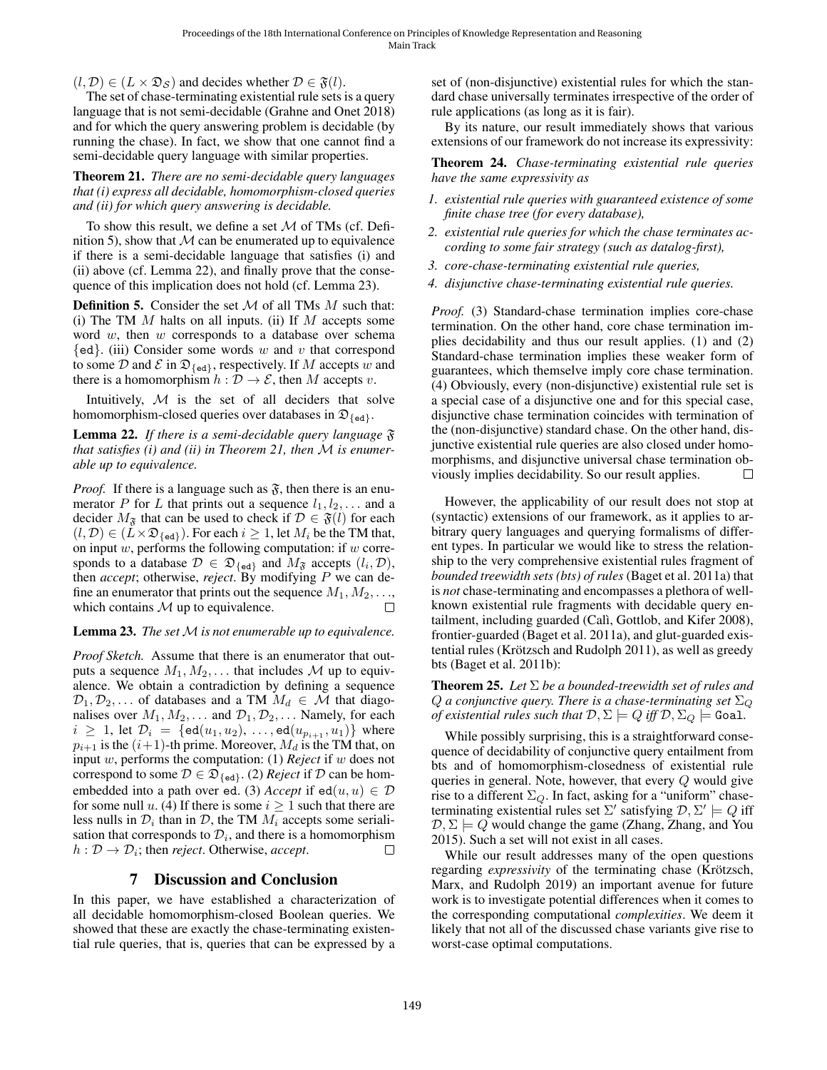$(l, \mathcal{D}) \in (L \times \mathfrak{D}_{\mathcal{S}})$  and decides whether  $\mathcal{D} \in \mathfrak{F}(l)$ .

The set of chase-terminating existential rule sets is a query language that is not semi-decidable [\(Grahne and Onet 2018\)](#page-9-7) and for which the query answering problem is decidable (by running the chase). In fact, we show that one cannot find a semi-decidable query language with similar properties.

<span id="page-8-3"></span>Theorem 21. *There are no semi-decidable query languages that (i) express all decidable, homomorphism-closed queries and (ii) for which query answering is decidable.*

To show this result, we define a set  $M$  of TMs (cf. Defi-nition [5\)](#page-8-0), show that  $M$  can be enumerated up to equivalence if there is a semi-decidable language that satisfies (i) and (ii) above (cf. Lemma [22\)](#page-8-1), and finally prove that the consequence of this implication does not hold (cf. Lemma [23\)](#page-8-2).

<span id="page-8-0"></span>**Definition 5.** Consider the set  $M$  of all TMs  $M$  such that: (i) The TM  $M$  halts on all inputs. (ii) If  $M$  accepts some word  $w$ , then  $w$  corresponds to a database over schema  $\{ed\}$ . (iii) Consider some words w and v that correspond to some  $D$  and  $E$  in  $\mathfrak{D}_{\{\text{ed}\}\}\$ , respectively. If M accepts w and there is a homomorphism  $h : \overline{\mathcal{D}} \to \mathcal{E}$ , then M accepts v.

Intuitively,  $M$  is the set of all deciders that solve homomorphism-closed queries over databases in  $\mathfrak{D}_{\{\text{ed}\}}$ .

<span id="page-8-1"></span>Lemma 22. *If there is a semi-decidable query language* F *that satisfies (i) and (ii) in Theorem [21,](#page-8-3) then* M *is enumerable up to equivalence.*

*Proof.* If there is a language such as  $\mathfrak{F}$ , then there is an enumerator P for L that prints out a sequence  $l_1, l_2, \ldots$  and a decider  $M_{\mathfrak{F}}$  that can be used to check if  $\mathcal{D} \in \mathfrak{F}(l)$  for each  $(l, \mathcal{D}) \in (L \times \mathfrak{D}_{\{\text{ed}\}})$ . For each  $i \geq 1$ , let  $M_i$  be the TM that, on input  $w$ , performs the following computation: if  $w$  corresponds to a database  $\mathcal{D} \in \mathfrak{D}_{\{\text{ed}\}\}\$ and  $M_{\mathfrak{F}}$  accepts  $(l_i, \mathcal{D}),$ then *accept*; otherwise, *reject*. By modifying P we can define an enumerator that prints out the sequence  $M_1, M_2, \ldots$ , which contains  $M$  up to equivalence.  $\Box$ 

#### <span id="page-8-2"></span>Lemma 23. *The set* M is not enumerable up to equivalence.

*Proof Sketch.* Assume that there is an enumerator that outputs a sequence  $M_1, M_2, \ldots$  that includes M up to equivalence. We obtain a contradiction by defining a sequence  $\mathcal{D}_1, \mathcal{D}_2, \ldots$  of databases and a TM  $M_d \in \mathcal{M}$  that diagonalises over  $M_1, M_2, \ldots$  and  $\mathcal{D}_1, \mathcal{D}_2, \ldots$  Namely, for each  $i \geq 1$ , let  $\mathcal{D}_i = {\text{ed}}(u_1, u_2), \ldots, \text{ed}}(u_{p_{i+1}}, u_1)$  where  $p_{i+1}$  is the  $(i+1)$ -th prime. Moreover,  $M_d$  is the TM that, on input w, performs the computation: (1) *Reject* if w does not correspond to some  $D \in \mathfrak{D}_{\{\text{ed}\}\}\$ . (2) *Reject* if  $D$  can be homembedded into a path over ed. (3) *Accept* if  $ed(u, u) \in \mathcal{D}$ for some null u. (4) If there is some  $i > 1$  such that there are less nulls in  $\mathcal{D}_i$  than in  $\mathcal{D}$ , the TM  $M_i$  accepts some serialisation that corresponds to  $\mathcal{D}_i$ , and there is a homomorphism  $h: \mathcal{D} \to \mathcal{D}_i$ ; then *reject*. Otherwise, *accept*.  $\Box$ 

## 7 Discussion and Conclusion

In this paper, we have established a characterization of all decidable homomorphism-closed Boolean queries. We showed that these are exactly the chase-terminating existential rule queries, that is, queries that can be expressed by a

set of (non-disjunctive) existential rules for which the standard chase universally terminates irrespective of the order of rule applications (as long as it is fair).

By its nature, our result immediately shows that various extensions of our framework do not increase its expressivity:

Theorem 24. *Chase-terminating existential rule queries have the same expressivity as*

- *1. existential rule queries with guaranteed existence of some finite chase tree (for every database),*
- *2. existential rule queries for which the chase terminates according to some fair strategy (such as datalog-first),*
- *3. core-chase-terminating existential rule queries,*
- *4. disjunctive chase-terminating existential rule queries.*

*Proof.* (3) Standard-chase termination implies core-chase termination. On the other hand, core chase termination implies decidability and thus our result applies. (1) and (2) Standard-chase termination implies these weaker form of guarantees, which themselve imply core chase termination. (4) Obviously, every (non-disjunctive) existential rule set is a special case of a disjunctive one and for this special case, disjunctive chase termination coincides with termination of the (non-disjunctive) standard chase. On the other hand, disjunctive existential rule queries are also closed under homomorphisms, and disjunctive universal chase termination obviously implies decidability. So our result applies.

However, the applicability of our result does not stop at (syntactic) extensions of our framework, as it applies to arbitrary query languages and querying formalisms of different types. In particular we would like to stress the relationship to the very comprehensive existential rules fragment of *bounded treewidth sets (bts) of rules* [\(Baget et al. 2011a\)](#page-9-13) that is *not* chase-terminating and encompasses a plethora of wellknown existential rule fragments with decidable query entailment, including guarded (Calì, Gottlob, and Kifer 2008), frontier-guarded [\(Baget et al. 2011a\)](#page-9-13), and glut-guarded existential rules (Krötzsch and Rudolph 2011), as well as greedy bts [\(Baget et al. 2011b\)](#page-9-15):

Theorem 25. *Let* Σ *be a bounded-treewidth set of rules and*  $Q$  a conjunctive query. There is a chase-terminating set  $\Sigma_Q$ *of existential rules such that*  $\mathcal{D}, \Sigma \models Q$  *iff*  $\mathcal{D}, \Sigma_Q \models$  Goal.

While possibly surprising, this is a straightforward consequence of decidability of conjunctive query entailment from bts and of homomorphism-closedness of existential rule queries in general. Note, however, that every Q would give rise to a different  $\Sigma_Q$ . In fact, asking for a "uniform" chaseterminating existential rules set  $\Sigma'$  satisfying  $\mathcal{D}, \Sigma' \models Q$  iff  $\mathcal{D}, \Sigma \models Q$  would change the game [\(Zhang, Zhang, and You](#page-9-6) [2015\)](#page-9-6). Such a set will not exist in all cases.

While our result addresses many of the open questions regarding *expressivity* of the terminating chase (Krötzsch, [Marx, and Rudolph 2019\)](#page-9-8) an important avenue for future work is to investigate potential differences when it comes to the corresponding computational *complexities*. We deem it likely that not all of the discussed chase variants give rise to worst-case optimal computations.